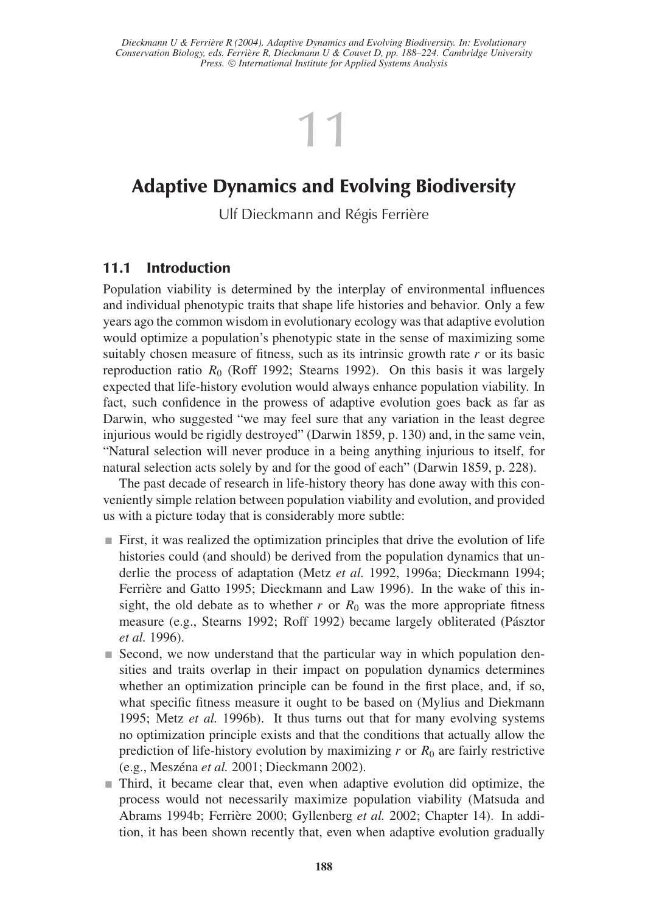

# Adaptive Dynamics and Evolving Biodiversity

Ulf Dieckmann and Régis Ferrière

# 11.1 Introduction

Population viability is determined by the interplay of environmental influences and individual phenotypic traits that shape life histories and behavior. Only a few years ago the common wisdom in evolutionary ecology was that adaptive evolution would optimize a population's phenotypic state in the sense of maximizing some suitably chosen measure of fitness, such as its intrinsic growth rate *r* or its basic reproduction ratio  $R_0$  (Roff 1992; Stearns 1992). On this basis it was largely expected that life-history evolution would always enhance population viability. In fact, such confidence in the prowess of adaptive evolution goes back as far as Darwin, who suggested "we may feel sure that any variation in the least degree injurious would be rigidly destroyed" (Darwin 1859, p. 130) and, in the same vein, "Natural selection will never produce in a being anything injurious to itself, for natural selection acts solely by and for the good of each" (Darwin 1859, p. 228).

The past decade of research in life-history theory has done away with this conveniently simple relation between population viability and evolution, and provided us with a picture today that is considerably more subtle:

- First, it was realized the optimization principles that drive the evolution of life histories could (and should) be derived from the population dynamics that underlie the process of adaptation (Metz *et al.* 1992, 1996a; Dieckmann 1994; Ferrière and Gatto 1995; Dieckmann and Law 1996). In the wake of this insight, the old debate as to whether  $r$  or  $R_0$  was the more appropriate fitness measure (e.g., Stearns 1992; Roff 1992) became largely obliterated (Pásztor *et al.* 1996).
- $\blacksquare$  Second, we now understand that the particular way in which population densities and traits overlap in their impact on population dynamics determines whether an optimization principle can be found in the first place, and, if so, what specific fitness measure it ought to be based on (Mylius and Diekmann 1995; Metz *et al.* 1996b). It thus turns out that for many evolving systems no optimization principle exists and that the conditions that actually allow the prediction of life-history evolution by maximizing  $r$  or  $R_0$  are fairly restrictive (e.g., Meszéna *et al.* 2001; Dieckmann 2002).
- Third, it became clear that, even when adaptive evolution did optimize, the process would not necessarily maximize population viability (Matsuda and Abrams 1994b; Ferrière 2000; Gyllenberg *et al.* 2002; Chapter 14). In addition, it has been shown recently that, even when adaptive evolution gradually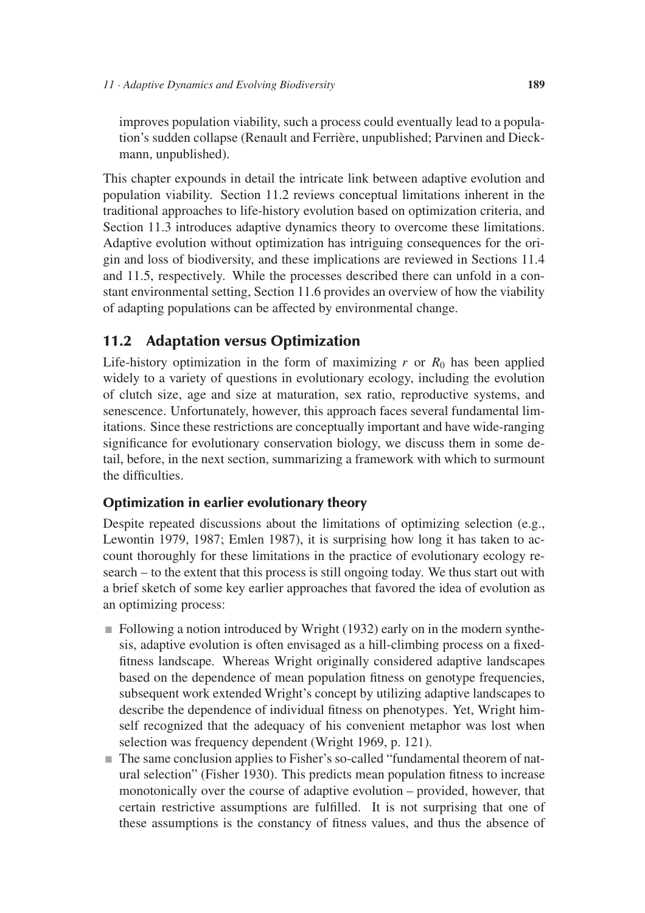improves population viability, such a process could eventually lead to a population's sudden collapse (Renault and Ferrière, unpublished; Parvinen and Dieckmann, unpublished).

This chapter expounds in detail the intricate link between adaptive evolution and population viability. Section 11.2 reviews conceptual limitations inherent in the traditional approaches to life-history evolution based on optimization criteria, and Section 11.3 introduces adaptive dynamics theory to overcome these limitations. Adaptive evolution without optimization has intriguing consequences for the origin and loss of biodiversity, and these implications are reviewed in Sections 11.4 and 11.5, respectively. While the processes described there can unfold in a constant environmental setting, Section 11.6 provides an overview of how the viability of adapting populations can be affected by environmental change.

# 11.2 Adaptation versus Optimization

Life-history optimization in the form of maximizing  $r$  or  $R_0$  has been applied widely to a variety of questions in evolutionary ecology, including the evolution of clutch size, age and size at maturation, sex ratio, reproductive systems, and senescence. Unfortunately, however, this approach faces several fundamental limitations. Since these restrictions are conceptually important and have wide-ranging significance for evolutionary conservation biology, we discuss them in some detail, before, in the next section, summarizing a framework with which to surmount the difficulties.

# Optimization in earlier evolutionary theory

Despite repeated discussions about the limitations of optimizing selection (e.g., Lewontin 1979, 1987; Emlen 1987), it is surprising how long it has taken to account thoroughly for these limitations in the practice of evolutionary ecology research – to the extent that this process is still ongoing today. We thus start out with a brief sketch of some key earlier approaches that favored the idea of evolution as an optimizing process:

- Following a notion introduced by Wright (1932) early on in the modern synthesis, adaptive evolution is often envisaged as a hill-climbing process on a fixedfitness landscape. Whereas Wright originally considered adaptive landscapes based on the dependence of mean population fitness on genotype frequencies, subsequent work extended Wright's concept by utilizing adaptive landscapes to describe the dependence of individual fitness on phenotypes. Yet, Wright himself recognized that the adequacy of his convenient metaphor was lost when selection was frequency dependent (Wright 1969, p. 121).
- The same conclusion applies to Fisher's so-called "fundamental theorem of natural selection" (Fisher 1930). This predicts mean population fitness to increase monotonically over the course of adaptive evolution – provided, however, that certain restrictive assumptions are fulfilled. It is not surprising that one of these assumptions is the constancy of fitness values, and thus the absence of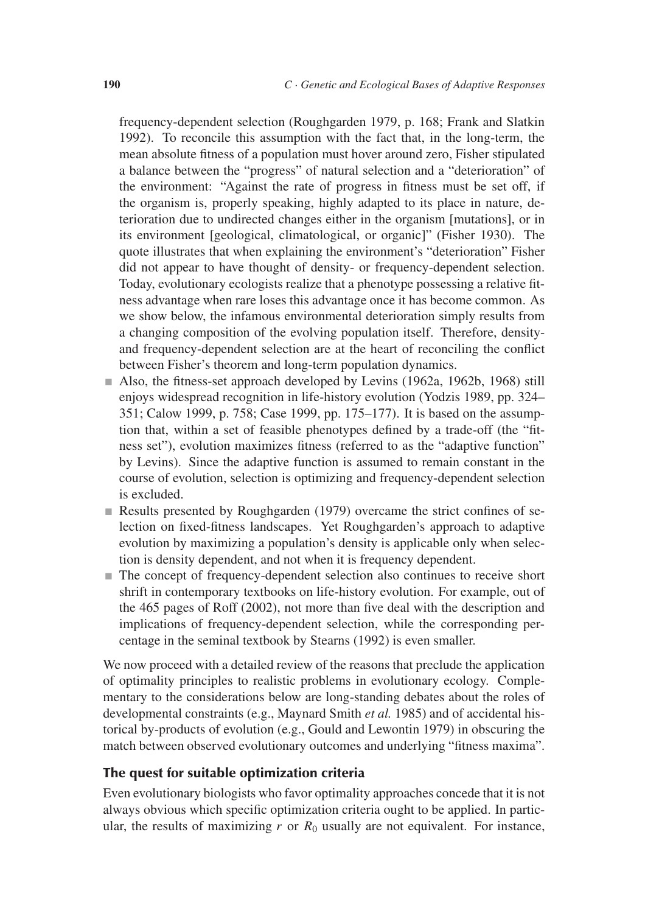frequency-dependent selection (Roughgarden 1979, p. 168; Frank and Slatkin 1992). To reconcile this assumption with the fact that, in the long-term, the mean absolute fitness of a population must hover around zero, Fisher stipulated a balance between the "progress" of natural selection and a "deterioration" of the environment: "Against the rate of progress in fitness must be set off, if the organism is, properly speaking, highly adapted to its place in nature, deterioration due to undirected changes either in the organism [mutations], or in its environment [geological, climatological, or organic]" (Fisher 1930). The quote illustrates that when explaining the environment's "deterioration" Fisher did not appear to have thought of density- or frequency-dependent selection. Today, evolutionary ecologists realize that a phenotype possessing a relative fitness advantage when rare loses this advantage once it has become common. As we show below, the infamous environmental deterioration simply results from a changing composition of the evolving population itself. Therefore, densityand frequency-dependent selection are at the heart of reconciling the conflict between Fisher's theorem and long-term population dynamics.

- Also, the fitness-set approach developed by Levins (1962a, 1962b, 1968) still enjoys widespread recognition in life-history evolution (Yodzis 1989, pp. 324– 351; Calow 1999, p. 758; Case 1999, pp. 175–177). It is based on the assumption that, within a set of feasible phenotypes defined by a trade-off (the "fitness set"), evolution maximizes fitness (referred to as the "adaptive function" by Levins). Since the adaptive function is assumed to remain constant in the course of evolution, selection is optimizing and frequency-dependent selection is excluded.
- Results presented by Roughgarden (1979) overcame the strict confines of selection on fixed-fitness landscapes. Yet Roughgarden's approach to adaptive evolution by maximizing a population's density is applicable only when selection is density dependent, and not when it is frequency dependent.
- The concept of frequency-dependent selection also continues to receive short shrift in contemporary textbooks on life-history evolution. For example, out of the 465 pages of Roff (2002), not more than five deal with the description and implications of frequency-dependent selection, while the corresponding percentage in the seminal textbook by Stearns (1992) is even smaller.

We now proceed with a detailed review of the reasons that preclude the application of optimality principles to realistic problems in evolutionary ecology. Complementary to the considerations below are long-standing debates about the roles of developmental constraints (e.g., Maynard Smith *et al.* 1985) and of accidental historical by-products of evolution (e.g., Gould and Lewontin 1979) in obscuring the match between observed evolutionary outcomes and underlying "fitness maxima".

# The quest for suitable optimization criteria

Even evolutionary biologists who favor optimality approaches concede that it is not always obvious which specific optimization criteria ought to be applied. In particular, the results of maximizing  $r$  or  $R_0$  usually are not equivalent. For instance,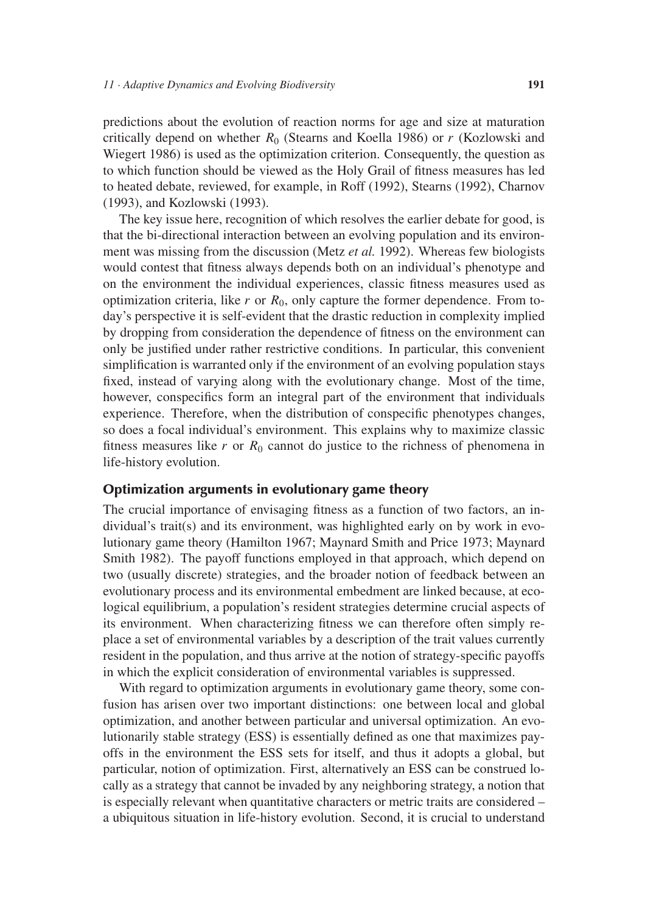predictions about the evolution of reaction norms for age and size at maturation critically depend on whether  $R_0$  (Stearns and Koella 1986) or  $r$  (Kozlowski and Wiegert 1986) is used as the optimization criterion. Consequently, the question as to which function should be viewed as the Holy Grail of fitness measures has led to heated debate, reviewed, for example, in Roff (1992), Stearns (1992), Charnov (1993), and Kozlowski (1993).

The key issue here, recognition of which resolves the earlier debate for good, is that the bi-directional interaction between an evolving population and its environment was missing from the discussion (Metz *et al.* 1992). Whereas few biologists would contest that fitness always depends both on an individual's phenotype and on the environment the individual experiences, classic fitness measures used as optimization criteria, like  $r$  or  $R_0$ , only capture the former dependence. From today's perspective it is self-evident that the drastic reduction in complexity implied by dropping from consideration the dependence of fitness on the environment can only be justified under rather restrictive conditions. In particular, this convenient simplification is warranted only if the environment of an evolving population stays fixed, instead of varying along with the evolutionary change. Most of the time, however, conspecifics form an integral part of the environment that individuals experience. Therefore, when the distribution of conspecific phenotypes changes, so does a focal individual's environment. This explains why to maximize classic fitness measures like  $r$  or  $R_0$  cannot do justice to the richness of phenomena in life-history evolution.

### Optimization arguments in evolutionary game theory

The crucial importance of envisaging fitness as a function of two factors, an individual's trait(s) and its environment, was highlighted early on by work in evolutionary game theory (Hamilton 1967; Maynard Smith and Price 1973; Maynard Smith 1982). The payoff functions employed in that approach, which depend on two (usually discrete) strategies, and the broader notion of feedback between an evolutionary process and its environmental embedment are linked because, at ecological equilibrium, a population's resident strategies determine crucial aspects of its environment. When characterizing fitness we can therefore often simply replace a set of environmental variables by a description of the trait values currently resident in the population, and thus arrive at the notion of strategy-specific payoffs in which the explicit consideration of environmental variables is suppressed.

With regard to optimization arguments in evolutionary game theory, some confusion has arisen over two important distinctions: one between local and global optimization, and another between particular and universal optimization. An evolutionarily stable strategy (ESS) is essentially defined as one that maximizes payoffs in the environment the ESS sets for itself, and thus it adopts a global, but particular, notion of optimization. First, alternatively an ESS can be construed locally as a strategy that cannot be invaded by any neighboring strategy, a notion that is especially relevant when quantitative characters or metric traits are considered – a ubiquitous situation in life-history evolution. Second, it is crucial to understand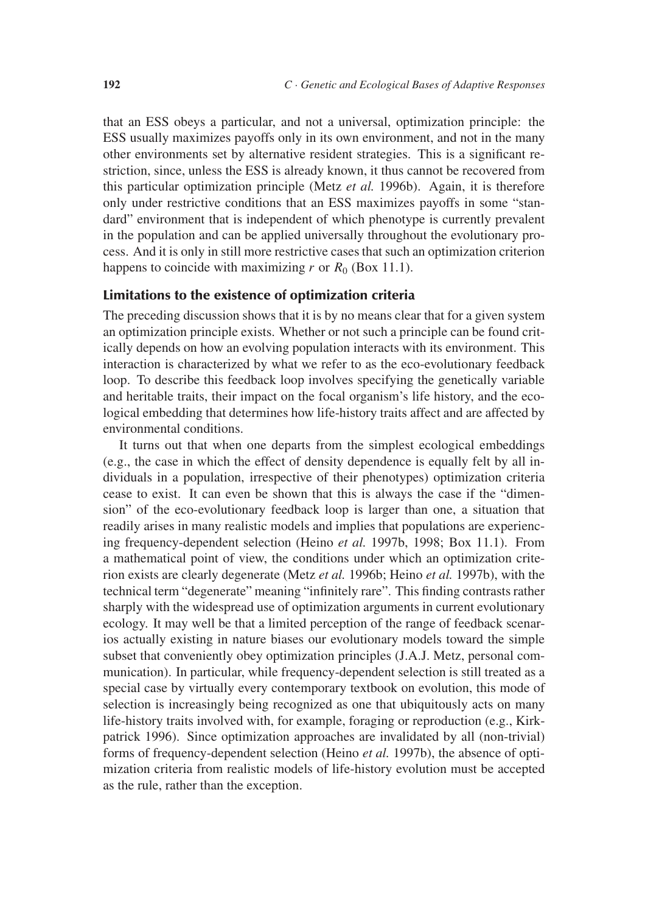that an ESS obeys a particular, and not a universal, optimization principle: the ESS usually maximizes payoffs only in its own environment, and not in the many other environments set by alternative resident strategies. This is a significant restriction, since, unless the ESS is already known, it thus cannot be recovered from this particular optimization principle (Metz *et al.* 1996b). Again, it is therefore only under restrictive conditions that an ESS maximizes payoffs in some "standard" environment that is independent of which phenotype is currently prevalent in the population and can be applied universally throughout the evolutionary process. And it is only in still more restrictive cases that such an optimization criterion happens to coincide with maximizing  $r$  or  $R_0$  (Box 11.1).

# Limitations to the existence of optimization criteria

The preceding discussion shows that it is by no means clear that for a given system an optimization principle exists. Whether or not such a principle can be found critically depends on how an evolving population interacts with its environment. This interaction is characterized by what we refer to as the eco-evolutionary feedback loop. To describe this feedback loop involves specifying the genetically variable and heritable traits, their impact on the focal organism's life history, and the ecological embedding that determines how life-history traits affect and are affected by environmental conditions.

It turns out that when one departs from the simplest ecological embeddings (e.g., the case in which the effect of density dependence is equally felt by all individuals in a population, irrespective of their phenotypes) optimization criteria cease to exist. It can even be shown that this is always the case if the "dimension" of the eco-evolutionary feedback loop is larger than one, a situation that readily arises in many realistic models and implies that populations are experiencing frequency-dependent selection (Heino *et al.* 1997b, 1998; Box 11.1). From a mathematical point of view, the conditions under which an optimization criterion exists are clearly degenerate (Metz *et al.* 1996b; Heino *et al.* 1997b), with the technical term "degenerate" meaning "infinitely rare". This finding contrasts rather sharply with the widespread use of optimization arguments in current evolutionary ecology. It may well be that a limited perception of the range of feedback scenarios actually existing in nature biases our evolutionary models toward the simple subset that conveniently obey optimization principles (J.A.J. Metz, personal communication). In particular, while frequency-dependent selection is still treated as a special case by virtually every contemporary textbook on evolution, this mode of selection is increasingly being recognized as one that ubiquitously acts on many life-history traits involved with, for example, foraging or reproduction (e.g., Kirkpatrick 1996). Since optimization approaches are invalidated by all (non-trivial) forms of frequency-dependent selection (Heino *et al.* 1997b), the absence of optimization criteria from realistic models of life-history evolution must be accepted as the rule, rather than the exception.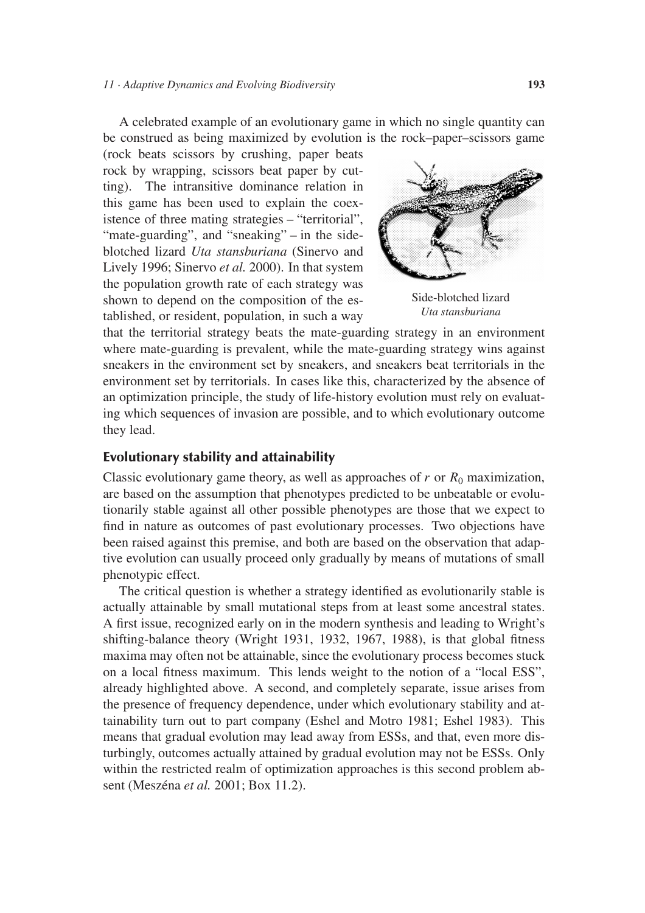A celebrated example of an evolutionary game in which no single quantity can be construed as being maximized by evolution is the rock–paper–scissors game

(rock beats scissors by crushing, paper beats rock by wrapping, scissors beat paper by cutting). The intransitive dominance relation in this game has been used to explain the coexistence of three mating strategies – "territorial", "mate-guarding", and "sneaking" – in the sideblotched lizard *Uta stansburiana* (Sinervo and Lively 1996; Sinervo *et al.* 2000). In that system the population growth rate of each strategy was shown to depend on the composition of the established, or resident, population, in such a way



Side-blotched lizard *Uta stansburiana*

that the territorial strategy beats the mate-guarding strategy in an environment where mate-guarding is prevalent, while the mate-guarding strategy wins against sneakers in the environment set by sneakers, and sneakers beat territorials in the environment set by territorials. In cases like this, characterized by the absence of an optimization principle, the study of life-history evolution must rely on evaluating which sequences of invasion are possible, and to which evolutionary outcome they lead.

# Evolutionary stability and attainability

Classic evolutionary game theory, as well as approaches of  $r$  or  $R_0$  maximization, are based on the assumption that phenotypes predicted to be unbeatable or evolutionarily stable against all other possible phenotypes are those that we expect to find in nature as outcomes of past evolutionary processes. Two objections have been raised against this premise, and both are based on the observation that adaptive evolution can usually proceed only gradually by means of mutations of small phenotypic effect.

The critical question is whether a strategy identified as evolutionarily stable is actually attainable by small mutational steps from at least some ancestral states. A first issue, recognized early on in the modern synthesis and leading to Wright's shifting-balance theory (Wright 1931, 1932, 1967, 1988), is that global fitness maxima may often not be attainable, since the evolutionary process becomes stuck on a local fitness maximum. This lends weight to the notion of a "local ESS", already highlighted above. A second, and completely separate, issue arises from the presence of frequency dependence, under which evolutionary stability and attainability turn out to part company (Eshel and Motro 1981; Eshel 1983). This means that gradual evolution may lead away from ESSs, and that, even more disturbingly, outcomes actually attained by gradual evolution may not be ESSs. Only within the restricted realm of optimization approaches is this second problem absent (Meszéna *et al.* 2001; Box 11.2).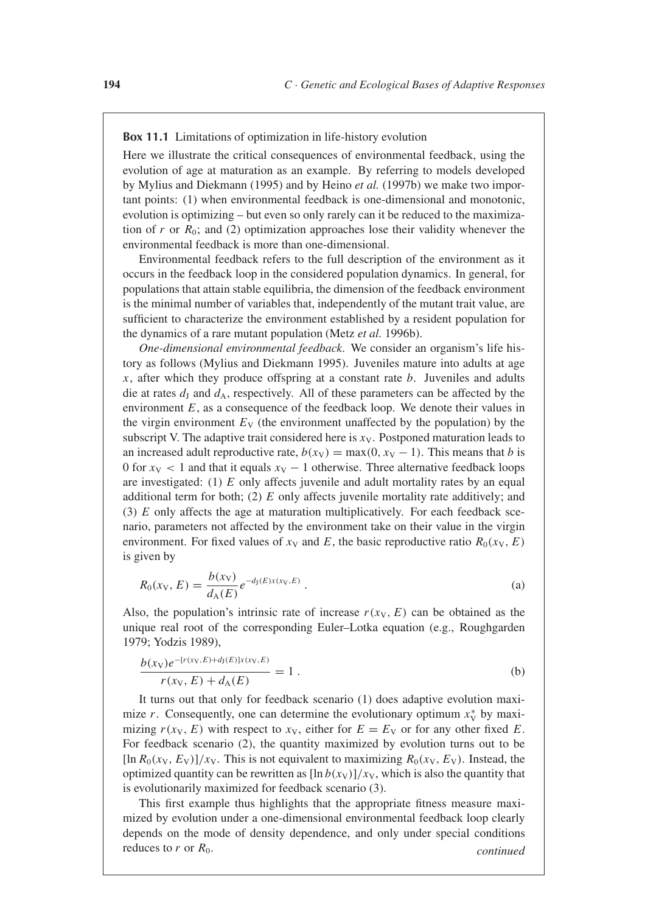#### **Box 11.1** Limitations of optimization in life-history evolution

Here we illustrate the critical consequences of environmental feedback, using the evolution of age at maturation as an example. By referring to models developed by Mylius and Diekmann (1995) and by Heino *et al.* (1997b) we make two important points: (1) when environmental feedback is one-dimensional and monotonic, evolution is optimizing – but even so only rarely can it be reduced to the maximization of  $r$  or  $R_0$ ; and (2) optimization approaches lose their validity whenever the environmental feedback is more than one-dimensional.

Environmental feedback refers to the full description of the environment as it occurs in the feedback loop in the considered population dynamics. In general, for populations that attain stable equilibria, the dimension of the feedback environment is the minimal number of variables that, independently of the mutant trait value, are sufficient to characterize the environment established by a resident population for the dynamics of a rare mutant population (Metz *et al.* 1996b).

*One-dimensional environmental feedback*. We consider an organism's life history as follows (Mylius and Diekmann 1995). Juveniles mature into adults at age *x*, after which they produce offspring at a constant rate *b*. Juveniles and adults die at rates  $d<sub>J</sub>$  and  $d<sub>A</sub>$ , respectively. All of these parameters can be affected by the environment *E*, as a consequence of the feedback loop. We denote their values in the virgin environment  $E_V$  (the environment unaffected by the population) by the subscript V. The adaptive trait considered here is  $x<sub>V</sub>$ . Postponed maturation leads to an increased adult reproductive rate,  $b(x_V) = \max(0, x_V - 1)$ . This means that *b* is 0 for  $x_V$  < 1 and that it equals  $x_V$  – 1 otherwise. Three alternative feedback loops are investigated: (1) *E* only affects juvenile and adult mortality rates by an equal additional term for both; (2) *E* only affects juvenile mortality rate additively; and (3) *E* only affects the age at maturation multiplicatively. For each feedback scenario, parameters not affected by the environment take on their value in the virgin environment. For fixed values of  $x<sub>V</sub>$  and *E*, the basic reproductive ratio  $R<sub>0</sub>(x<sub>V</sub>, E)$ is given by

$$
R_0(x_V, E) = \frac{b(x_V)}{d_A(E)} e^{-d_J(E)x(x_V, E)}.
$$
 (a)

Also, the population's intrinsic rate of increase  $r(x<sub>V</sub>, E)$  can be obtained as the unique real root of the corresponding Euler–Lotka equation (e.g., Roughgarden 1979; Yodzis 1989),

$$
\frac{b(x_V)e^{-[r(x_V,E)+d_J(E)]x(x_V,E)}}{r(x_V,E)+d_A(E)}=1.
$$
\n(b)

It turns out that only for feedback scenario (1) does adaptive evolution maximize *r*. Consequently, one can determine the evolutionary optimum  $x_v^*$  by maximizing  $r(x_V, E)$  with respect to  $x_V$ , either for  $E = E_V$  or for any other fixed *E*. For feedback scenario (2), the quantity maximized by evolution turns out to be  $[\ln R_0(x_V, E_V)]/x_V$ . This is not equivalent to maximizing  $R_0(x_V, E_V)$ . Instead, the optimized quantity can be rewritten as  $[\ln b(x_V)]/x_V$ , which is also the quantity that is evolutionarily maximized for feedback scenario (3).

This first example thus highlights that the appropriate fitness measure maximized by evolution under a one-dimensional environmental feedback loop clearly depends on the mode of density dependence, and only under special conditions reduces to *r* or *R*0. *continued*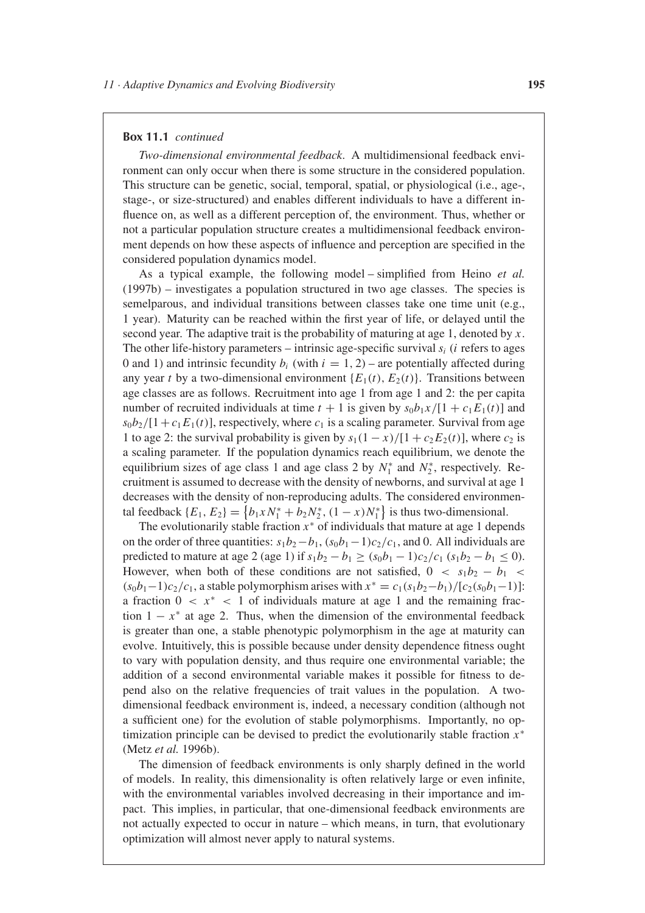#### **Box 11.1** *continued*

*Two-dimensional environmental feedback*. A multidimensional feedback environment can only occur when there is some structure in the considered population. This structure can be genetic, social, temporal, spatial, or physiological (i.e., age-, stage-, or size-structured) and enables different individuals to have a different influence on, as well as a different perception of, the environment. Thus, whether or not a particular population structure creates a multidimensional feedback environment depends on how these aspects of influence and perception are specified in the considered population dynamics model.

As a typical example, the following model – simplified from Heino *et al.* (1997b) – investigates a population structured in two age classes. The species is semelparous, and individual transitions between classes take one time unit (e.g., 1 year). Maturity can be reached within the first year of life, or delayed until the second year. The adaptive trait is the probability of maturing at age 1, denoted by *x*. The other life-history parameters – intrinsic age-specific survival  $s_i$  (*i* refers to ages 0 and 1) and intrinsic fecundity  $b_i$  (with  $i = 1, 2$ ) – are potentially affected during any year *t* by a two-dimensional environment  $\{E_1(t), E_2(t)\}$ . Transitions between age classes are as follows. Recruitment into age 1 from age 1 and 2: the per capita number of recruited individuals at time  $t + 1$  is given by  $s_0b_1x/[1 + c_1E_1(t)]$  and  $s_0b_2/[1+c_1E_1(t)]$ , respectively, where  $c_1$  is a scaling parameter. Survival from age 1 to age 2: the survival probability is given by  $s_1(1-x)/[1+c_2E_2(t)]$ , where  $c_2$  is a scaling parameter. If the population dynamics reach equilibrium, we denote the equilibrium sizes of age class 1 and age class 2 by  $N_1^*$  and  $N_2^*$ , respectively. Recruitment is assumed to decrease with the density of newborns, and survival at age 1 decreases with the density of non-reproducing adults. The considered environmental feedback  $\{E_1, E_2\} = \{b_1 x N_1^* + b_2 N_2^*, (1 - x) N_1^*\}$  is thus two-dimensional.

The evolutionarily stable fraction  $x^*$  of individuals that mature at age 1 depends on the order of three quantities:  $s_1b_2-b_1$ ,  $(s_0b_1-1)c_2/c_1$ , and 0. All individuals are predicted to mature at age 2 (age 1) if  $s_1b_2 - b_1 \ge (s_0b_1 - 1)c_2/c_1$   $(s_1b_2 - b_1 \le 0)$ . However, when both of these conditions are not satisfied,  $0 \lt s_1 b_2 - b_1 \lt$  $(s_0b_1-1)c_2/c_1$ , a stable polymorphism arises with  $x^* = c_1(s_1b_2-b_1)/[c_2(s_0b_1-1)]$ : a fraction  $0 \lt x^* \lt 1$  of individuals mature at age 1 and the remaining fraction  $1 - x^*$  at age 2. Thus, when the dimension of the environmental feedback is greater than one, a stable phenotypic polymorphism in the age at maturity can evolve. Intuitively, this is possible because under density dependence fitness ought to vary with population density, and thus require one environmental variable; the addition of a second environmental variable makes it possible for fitness to depend also on the relative frequencies of trait values in the population. A twodimensional feedback environment is, indeed, a necessary condition (although not a sufficient one) for the evolution of stable polymorphisms. Importantly, no optimization principle can be devised to predict the evolutionarily stable fraction  $x^*$ (Metz *et al.* 1996b).

The dimension of feedback environments is only sharply defined in the world of models. In reality, this dimensionality is often relatively large or even infinite, with the environmental variables involved decreasing in their importance and impact. This implies, in particular, that one-dimensional feedback environments are not actually expected to occur in nature – which means, in turn, that evolutionary optimization will almost never apply to natural systems.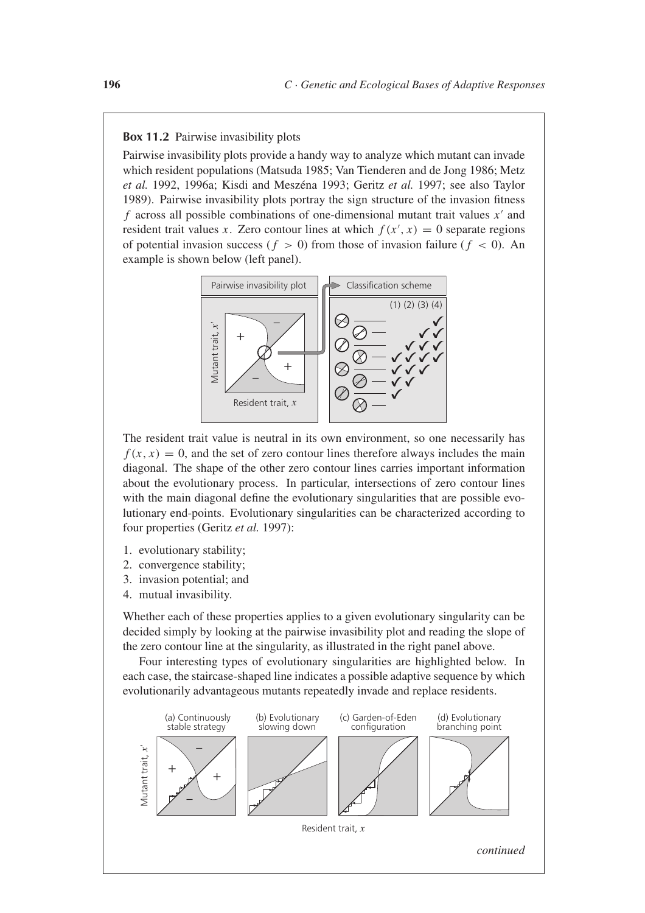#### **Box 11.2** Pairwise invasibility plots

Pairwise invasibility plots provide a handy way to analyze which mutant can invade which resident populations (Matsuda 1985; Van Tienderen and de Jong 1986; Metz *et al.* 1992, 1996a; Kisdi and Meszéna 1993; Geritz *et al.* 1997; see also Taylor 1989). Pairwise invasibility plots portray the sign structure of the invasion fitness *f* across all possible combinations of one-dimensional mutant trait values *x'* and resident trait values *x*. Zero contour lines at which  $f(x', x) = 0$  separate regions of potential invasion success ( $f > 0$ ) from those of invasion failure ( $f < 0$ ). An example is shown below (left panel).



The resident trait value is neutral in its own environment, so one necessarily has  $f(x, x) = 0$ , and the set of zero contour lines therefore always includes the main diagonal. The shape of the other zero contour lines carries important information about the evolutionary process. In particular, intersections of zero contour lines with the main diagonal define the evolutionary singularities that are possible evolutionary end-points. Evolutionary singularities can be characterized according to four properties (Geritz *et al.* 1997):

- 1. evolutionary stability;
- 2. convergence stability;
- 3. invasion potential; and
- 4. mutual invasibility.

Whether each of these properties applies to a given evolutionary singularity can be decided simply by looking at the pairwise invasibility plot and reading the slope of the zero contour line at the singularity, as illustrated in the right panel above.

Four interesting types of evolutionary singularities are highlighted below. In each case, the staircase-shaped line indicates a possible adaptive sequence by which evolutionarily advantageous mutants repeatedly invade and replace residents.

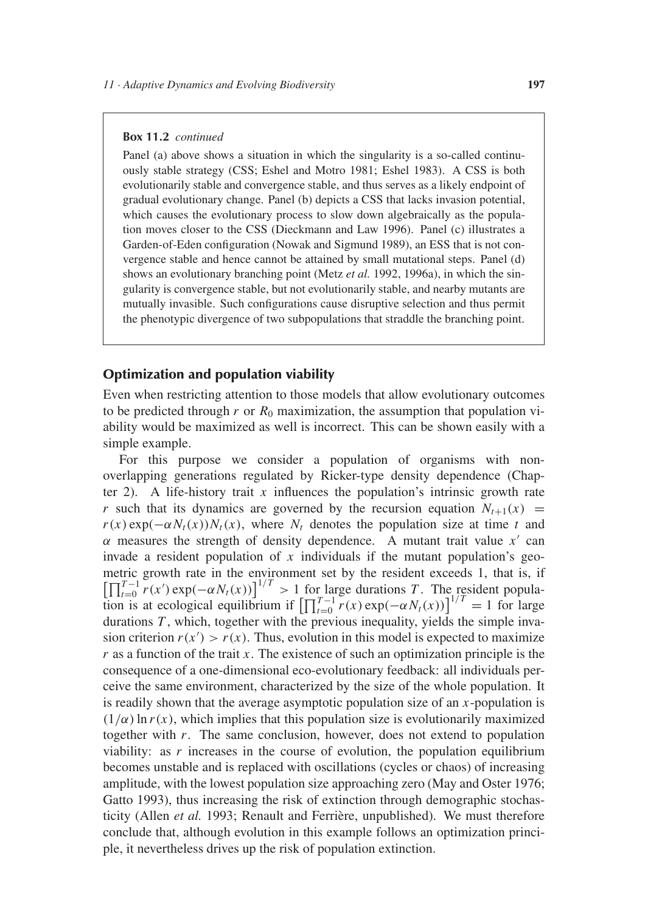#### **Box 11.2** *continued*

Panel (a) above shows a situation in which the singularity is a so-called continuously stable strategy (CSS; Eshel and Motro 1981; Eshel 1983). A CSS is both evolutionarily stable and convergence stable, and thus serves as a likely endpoint of gradual evolutionary change. Panel (b) depicts a CSS that lacks invasion potential, which causes the evolutionary process to slow down algebraically as the population moves closer to the CSS (Dieckmann and Law 1996). Panel (c) illustrates a Garden-of-Eden configuration (Nowak and Sigmund 1989), an ESS that is not convergence stable and hence cannot be attained by small mutational steps. Panel (d) shows an evolutionary branching point (Metz *et al.* 1992, 1996a), in which the singularity is convergence stable, but not evolutionarily stable, and nearby mutants are mutually invasible. Such configurations cause disruptive selection and thus permit the phenotypic divergence of two subpopulations that straddle the branching point.

# Optimization and population viability

Even when restricting attention to those models that allow evolutionary outcomes to be predicted through  $r$  or  $R_0$  maximization, the assumption that population viability would be maximized as well is incorrect. This can be shown easily with a simple example.

For this purpose we consider a population of organisms with nonoverlapping generations regulated by Ricker-type density dependence (Chapter 2). A life-history trait  $x$  influences the population's intrinsic growth rate *r* such that its dynamics are governed by the recursion equation  $N_{t+1}(x)$  =  $r(x) \exp(-\alpha N_t(x))N_t(x)$ , where  $N_t$  denotes the population size at time *t* and  $\alpha$  measures the strength of density dependence. A mutant trait value  $x'$  can invade a resident population of *x* individuals if the mutant population's geometric growth rate in the environment set by the resident exceeds 1, that is, if  $\left[\prod_{t=0}^{T-1} r(x') \exp(-\alpha N_t(x))\right]^{1/T} > 1$  for large durations *T*. The resident population is at ecological equilibrium if  $\left[\prod_{t=0}^{T-1} r(x) \exp(-\alpha N_t(x))\right]^{1/T} = 1$  for large durations *T*, which, together with the previous inequality, yields the simple invasion criterion  $r(x') > r(x)$ . Thus, evolution in this model is expected to maximize *r* as a function of the trait *x*. The existence of such an optimization principle is the consequence of a one-dimensional eco-evolutionary feedback: all individuals perceive the same environment, characterized by the size of the whole population. It is readily shown that the average asymptotic population size of an *x*-population is  $(1/\alpha)$  ln  $r(x)$ , which implies that this population size is evolutionarily maximized together with *r*. The same conclusion, however, does not extend to population viability: as *r* increases in the course of evolution, the population equilibrium becomes unstable and is replaced with oscillations (cycles or chaos) of increasing amplitude, with the lowest population size approaching zero (May and Oster 1976; Gatto 1993), thus increasing the risk of extinction through demographic stochasticity (Allen *et al.* 1993; Renault and Ferrière, unpublished). We must therefore conclude that, although evolution in this example follows an optimization principle, it nevertheless drives up the risk of population extinction.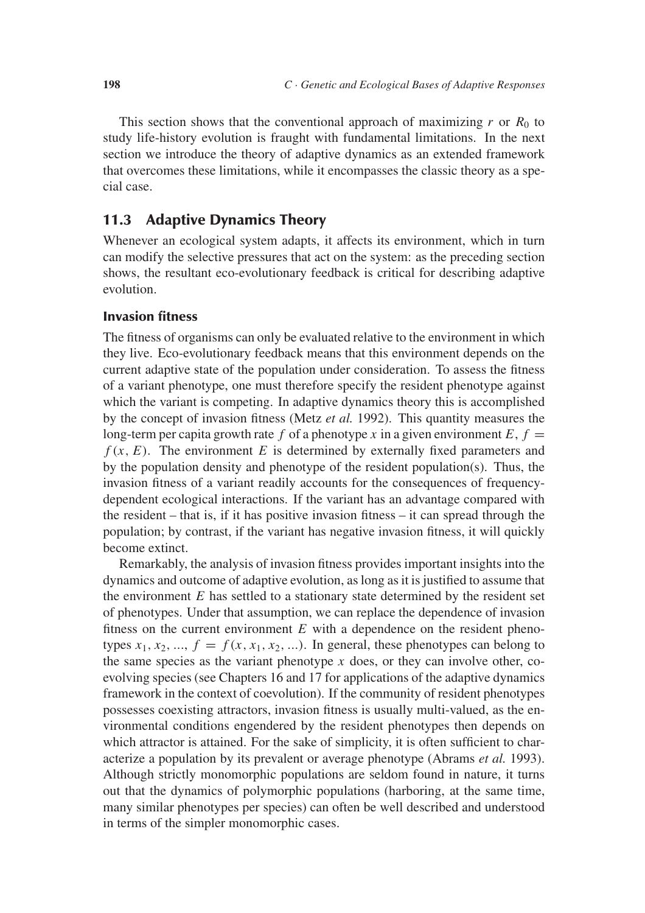This section shows that the conventional approach of maximizing  $r$  or  $R_0$  to study life-history evolution is fraught with fundamental limitations. In the next section we introduce the theory of adaptive dynamics as an extended framework that overcomes these limitations, while it encompasses the classic theory as a special case.

# 11.3 Adaptive Dynamics Theory

Whenever an ecological system adapts, it affects its environment, which in turn can modify the selective pressures that act on the system: as the preceding section shows, the resultant eco-evolutionary feedback is critical for describing adaptive evolution.

# Invasion fitness

The fitness of organisms can only be evaluated relative to the environment in which they live. Eco-evolutionary feedback means that this environment depends on the current adaptive state of the population under consideration. To assess the fitness of a variant phenotype, one must therefore specify the resident phenotype against which the variant is competing. In adaptive dynamics theory this is accomplished by the concept of invasion fitness (Metz *et al.* 1992). This quantity measures the long-term per capita growth rate  $f$  of a phenotype  $x$  in a given environment  $E, f =$  $f(x, E)$ . The environment *E* is determined by externally fixed parameters and by the population density and phenotype of the resident population(s). Thus, the invasion fitness of a variant readily accounts for the consequences of frequencydependent ecological interactions. If the variant has an advantage compared with the resident – that is, if it has positive invasion fitness – it can spread through the population; by contrast, if the variant has negative invasion fitness, it will quickly become extinct.

Remarkably, the analysis of invasion fitness provides important insights into the dynamics and outcome of adaptive evolution, as long as it is justified to assume that the environment *E* has settled to a stationary state determined by the resident set of phenotypes. Under that assumption, we can replace the dependence of invasion fitness on the current environment *E* with a dependence on the resident phenotypes  $x_1, x_2, ..., f = f(x, x_1, x_2, ...)$ . In general, these phenotypes can belong to the same species as the variant phenotype  $x$  does, or they can involve other, coevolving species (see Chapters 16 and 17 for applications of the adaptive dynamics framework in the context of coevolution). If the community of resident phenotypes possesses coexisting attractors, invasion fitness is usually multi-valued, as the environmental conditions engendered by the resident phenotypes then depends on which attractor is attained. For the sake of simplicity, it is often sufficient to characterize a population by its prevalent or average phenotype (Abrams *et al.* 1993). Although strictly monomorphic populations are seldom found in nature, it turns out that the dynamics of polymorphic populations (harboring, at the same time, many similar phenotypes per species) can often be well described and understood in terms of the simpler monomorphic cases.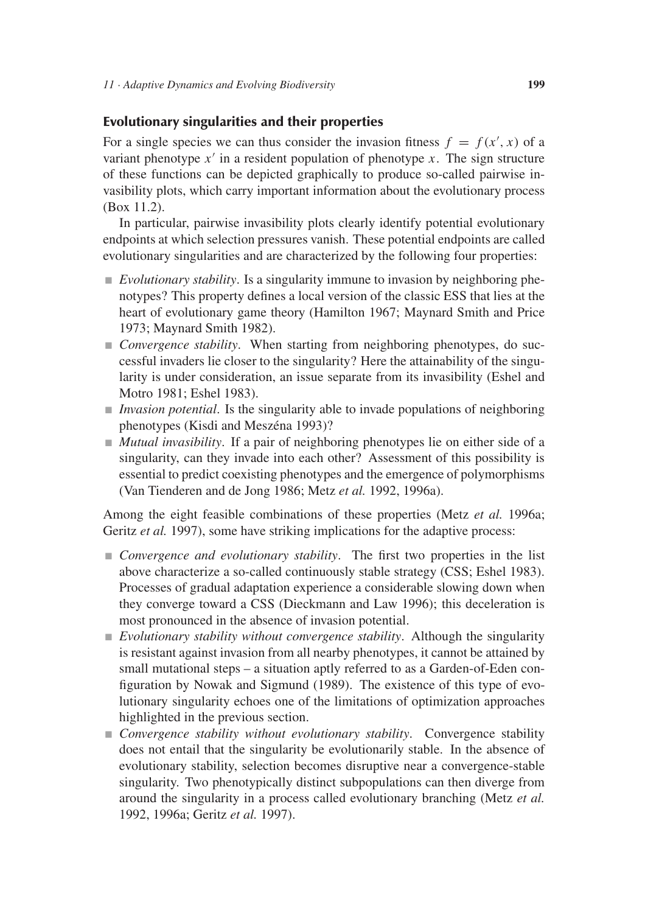# Evolutionary singularities and their properties

For a single species we can thus consider the invasion fitness  $f = f(x', x)$  of a variant phenotype  $x'$  in a resident population of phenotype  $x$ . The sign structure of these functions can be depicted graphically to produce so-called pairwise invasibility plots, which carry important information about the evolutionary process (Box 11.2).

In particular, pairwise invasibility plots clearly identify potential evolutionary endpoints at which selection pressures vanish. These potential endpoints are called evolutionary singularities and are characterized by the following four properties:

- *Evolutionary stability*. Is a singularity immune to invasion by neighboring phenotypes? This property defines a local version of the classic ESS that lies at the heart of evolutionary game theory (Hamilton 1967; Maynard Smith and Price 1973; Maynard Smith 1982).
- *Convergence stability*. When starting from neighboring phenotypes, do successful invaders lie closer to the singularity? Here the attainability of the singularity is under consideration, an issue separate from its invasibility (Eshel and Motro 1981; Eshel 1983).
- *Invasion potential*. Is the singularity able to invade populations of neighboring phenotypes (Kisdi and Meszéna 1993)?
- *Mutual invasibility*. If a pair of neighboring phenotypes lie on either side of a singularity, can they invade into each other? Assessment of this possibility is essential to predict coexisting phenotypes and the emergence of polymorphisms (Van Tienderen and de Jong 1986; Metz *et al.* 1992, 1996a).

Among the eight feasible combinations of these properties (Metz *et al.* 1996a; Geritz *et al.* 1997), some have striking implications for the adaptive process:

- *Convergence and evolutionary stability*. The first two properties in the list above characterize a so-called continuously stable strategy (CSS; Eshel 1983). Processes of gradual adaptation experience a considerable slowing down when they converge toward a CSS (Dieckmann and Law 1996); this deceleration is most pronounced in the absence of invasion potential.
- *Evolutionary stability without convergence stability*. Although the singularity is resistant against invasion from all nearby phenotypes, it cannot be attained by small mutational steps – a situation aptly referred to as a Garden-of-Eden configuration by Nowak and Sigmund (1989). The existence of this type of evolutionary singularity echoes one of the limitations of optimization approaches highlighted in the previous section.
- *Convergence stability without evolutionary stability*. Convergence stability does not entail that the singularity be evolutionarily stable. In the absence of evolutionary stability, selection becomes disruptive near a convergence-stable singularity. Two phenotypically distinct subpopulations can then diverge from around the singularity in a process called evolutionary branching (Metz *et al.* 1992, 1996a; Geritz *et al.* 1997).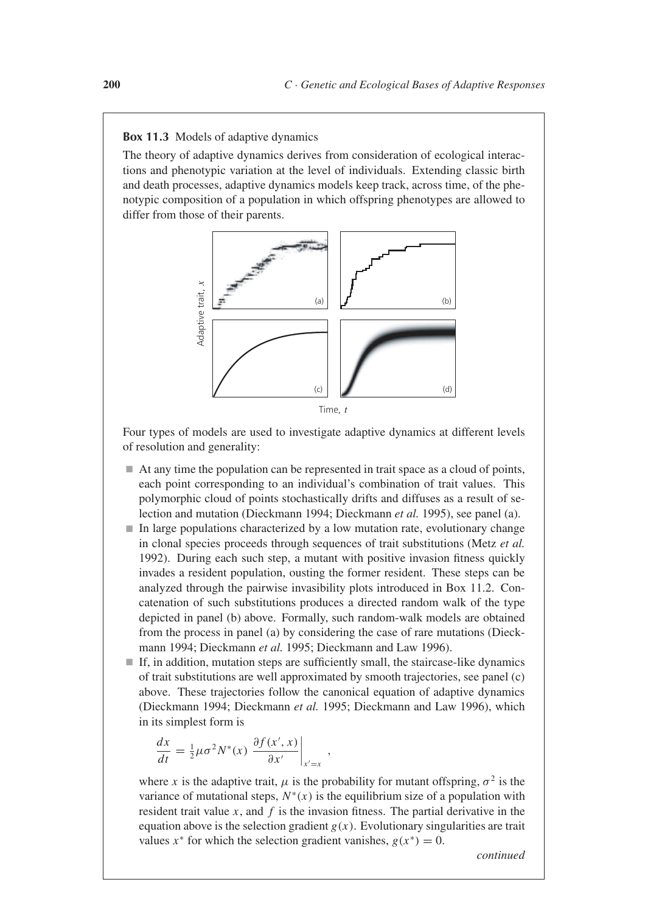**Box 11.3** Models of adaptive dynamics

The theory of adaptive dynamics derives from consideration of ecological interactions and phenotypic variation at the level of individuals. Extending classic birth and death processes, adaptive dynamics models keep track, across time, of the phenotypic composition of a population in which offspring phenotypes are allowed to differ from those of their parents.





Four types of models are used to investigate adaptive dynamics at different levels of resolution and generality:

- $\blacksquare$  At any time the population can be represented in trait space as a cloud of points, each point corresponding to an individual's combination of trait values. This polymorphic cloud of points stochastically drifts and diffuses as a result of selection and mutation (Dieckmann 1994; Dieckmann *et al.* 1995), see panel (a).
- $\blacksquare$  In large populations characterized by a low mutation rate, evolutionary change in clonal species proceeds through sequences of trait substitutions (Metz *et al.* 1992). During each such step, a mutant with positive invasion fitness quickly invades a resident population, ousting the former resident. These steps can be analyzed through the pairwise invasibility plots introduced in Box 11.2. Concatenation of such substitutions produces a directed random walk of the type depicted in panel (b) above. Formally, such random-walk models are obtained from the process in panel (a) by considering the case of rare mutations (Dieckmann 1994; Dieckmann *et al.* 1995; Dieckmann and Law 1996).
- $\blacksquare$  If, in addition, mutation steps are sufficiently small, the staircase-like dynamics of trait substitutions are well approximated by smooth trajectories, see panel (c) above. These trajectories follow the canonical equation of adaptive dynamics (Dieckmann 1994; Dieckmann *et al.* 1995; Dieckmann and Law 1996), which in its simplest form is

$$
\frac{dx}{dt} = \frac{1}{2}\mu\sigma^2 N^*(x) \left. \frac{\partial f(x', x)}{\partial x'} \right|_{x'=x}
$$

where *x* is the adaptive trait,  $\mu$  is the probability for mutant offspring,  $\sigma^2$  is the variance of mutational steps,  $N^*(x)$  is the equilibrium size of a population with resident trait value  $x$ , and  $f$  is the invasion fitness. The partial derivative in the equation above is the selection gradient  $g(x)$ . Evolutionary singularities are trait values  $x^*$  for which the selection gradient vanishes,  $g(x^*) = 0$ .

,

*continued*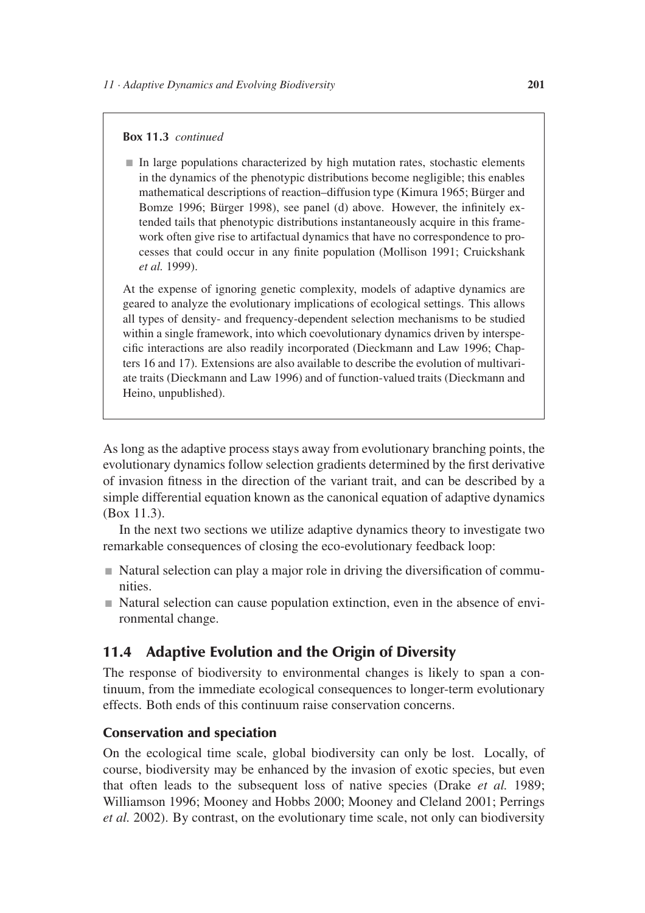### **Box 11.3** *continued*

 In large populations characterized by high mutation rates, stochastic elements in the dynamics of the phenotypic distributions become negligible; this enables mathematical descriptions of reaction–diffusion type (Kimura 1965; Bürger and Bomze 1996; Bürger 1998), see panel (d) above. However, the infinitely extended tails that phenotypic distributions instantaneously acquire in this framework often give rise to artifactual dynamics that have no correspondence to processes that could occur in any finite population (Mollison 1991; Cruickshank *et al.* 1999).

At the expense of ignoring genetic complexity, models of adaptive dynamics are geared to analyze the evolutionary implications of ecological settings. This allows all types of density- and frequency-dependent selection mechanisms to be studied within a single framework, into which coevolutionary dynamics driven by interspecific interactions are also readily incorporated (Dieckmann and Law 1996; Chapters 16 and 17). Extensions are also available to describe the evolution of multivariate traits (Dieckmann and Law 1996) and of function-valued traits (Dieckmann and Heino, unpublished).

As long as the adaptive process stays away from evolutionary branching points, the evolutionary dynamics follow selection gradients determined by the first derivative of invasion fitness in the direction of the variant trait, and can be described by a simple differential equation known as the canonical equation of adaptive dynamics (Box 11.3).

In the next two sections we utilize adaptive dynamics theory to investigate two remarkable consequences of closing the eco-evolutionary feedback loop:

- Natural selection can play a major role in driving the diversification of communities.
- Natural selection can cause population extinction, even in the absence of environmental change.

# 11.4 Adaptive Evolution and the Origin of Diversity

The response of biodiversity to environmental changes is likely to span a continuum, from the immediate ecological consequences to longer-term evolutionary effects. Both ends of this continuum raise conservation concerns.

# Conservation and speciation

On the ecological time scale, global biodiversity can only be lost. Locally, of course, biodiversity may be enhanced by the invasion of exotic species, but even that often leads to the subsequent loss of native species (Drake *et al.* 1989; Williamson 1996; Mooney and Hobbs 2000; Mooney and Cleland 2001; Perrings *et al.* 2002). By contrast, on the evolutionary time scale, not only can biodiversity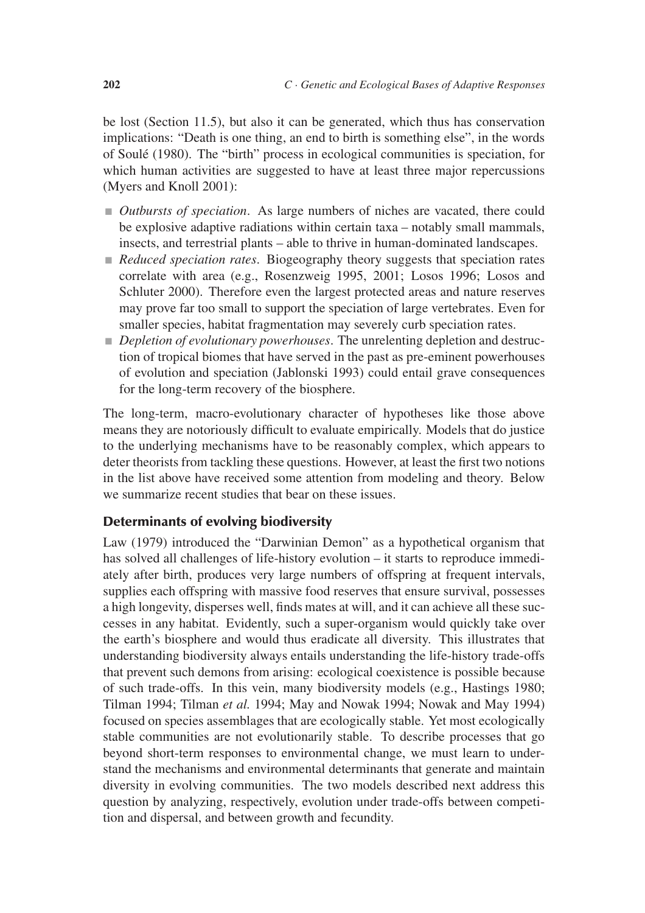be lost (Section 11.5), but also it can be generated, which thus has conservation implications: "Death is one thing, an end to birth is something else", in the words of Soulé (1980). The "birth" process in ecological communities is speciation, for which human activities are suggested to have at least three major repercussions (Myers and Knoll 2001):

- *Outbursts of speciation*. As large numbers of niches are vacated, there could be explosive adaptive radiations within certain taxa – notably small mammals, insects, and terrestrial plants – able to thrive in human-dominated landscapes.
- *Reduced speciation rates*. Biogeography theory suggests that speciation rates correlate with area (e.g., Rosenzweig 1995, 2001; Losos 1996; Losos and Schluter 2000). Therefore even the largest protected areas and nature reserves may prove far too small to support the speciation of large vertebrates. Even for smaller species, habitat fragmentation may severely curb speciation rates.
- *Depletion of evolutionary powerhouses*. The unrelenting depletion and destruction of tropical biomes that have served in the past as pre-eminent powerhouses of evolution and speciation (Jablonski 1993) could entail grave consequences for the long-term recovery of the biosphere.

The long-term, macro-evolutionary character of hypotheses like those above means they are notoriously difficult to evaluate empirically. Models that do justice to the underlying mechanisms have to be reasonably complex, which appears to deter theorists from tackling these questions. However, at least the first two notions in the list above have received some attention from modeling and theory. Below we summarize recent studies that bear on these issues.

# Determinants of evolving biodiversity

Law (1979) introduced the "Darwinian Demon" as a hypothetical organism that has solved all challenges of life-history evolution – it starts to reproduce immediately after birth, produces very large numbers of offspring at frequent intervals, supplies each offspring with massive food reserves that ensure survival, possesses a high longevity, disperses well, finds mates at will, and it can achieve all these successes in any habitat. Evidently, such a super-organism would quickly take over the earth's biosphere and would thus eradicate all diversity. This illustrates that understanding biodiversity always entails understanding the life-history trade-offs that prevent such demons from arising: ecological coexistence is possible because of such trade-offs. In this vein, many biodiversity models (e.g., Hastings 1980; Tilman 1994; Tilman *et al.* 1994; May and Nowak 1994; Nowak and May 1994) focused on species assemblages that are ecologically stable. Yet most ecologically stable communities are not evolutionarily stable. To describe processes that go beyond short-term responses to environmental change, we must learn to understand the mechanisms and environmental determinants that generate and maintain diversity in evolving communities. The two models described next address this question by analyzing, respectively, evolution under trade-offs between competition and dispersal, and between growth and fecundity.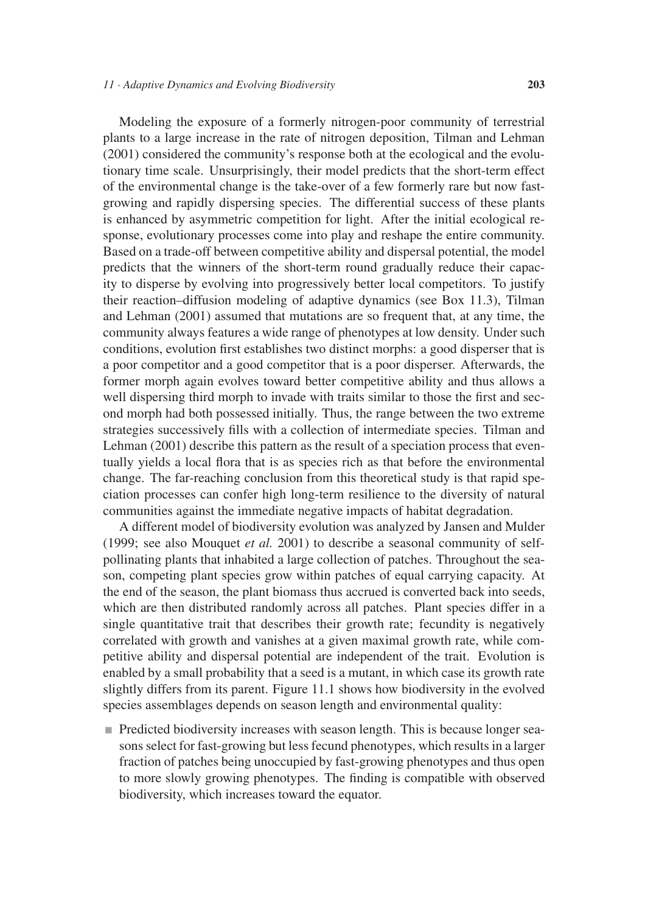Modeling the exposure of a formerly nitrogen-poor community of terrestrial plants to a large increase in the rate of nitrogen deposition, Tilman and Lehman (2001) considered the community's response both at the ecological and the evolutionary time scale. Unsurprisingly, their model predicts that the short-term effect of the environmental change is the take-over of a few formerly rare but now fastgrowing and rapidly dispersing species. The differential success of these plants is enhanced by asymmetric competition for light. After the initial ecological response, evolutionary processes come into play and reshape the entire community. Based on a trade-off between competitive ability and dispersal potential, the model predicts that the winners of the short-term round gradually reduce their capacity to disperse by evolving into progressively better local competitors. To justify their reaction–diffusion modeling of adaptive dynamics (see Box 11.3), Tilman and Lehman (2001) assumed that mutations are so frequent that, at any time, the community always features a wide range of phenotypes at low density. Under such conditions, evolution first establishes two distinct morphs: a good disperser that is a poor competitor and a good competitor that is a poor disperser. Afterwards, the former morph again evolves toward better competitive ability and thus allows a well dispersing third morph to invade with traits similar to those the first and second morph had both possessed initially. Thus, the range between the two extreme strategies successively fills with a collection of intermediate species. Tilman and Lehman (2001) describe this pattern as the result of a speciation process that eventually yields a local flora that is as species rich as that before the environmental change. The far-reaching conclusion from this theoretical study is that rapid speciation processes can confer high long-term resilience to the diversity of natural communities against the immediate negative impacts of habitat degradation.

A different model of biodiversity evolution was analyzed by Jansen and Mulder (1999; see also Mouquet *et al.* 2001) to describe a seasonal community of selfpollinating plants that inhabited a large collection of patches. Throughout the season, competing plant species grow within patches of equal carrying capacity. At the end of the season, the plant biomass thus accrued is converted back into seeds, which are then distributed randomly across all patches. Plant species differ in a single quantitative trait that describes their growth rate; fecundity is negatively correlated with growth and vanishes at a given maximal growth rate, while competitive ability and dispersal potential are independent of the trait. Evolution is enabled by a small probability that a seed is a mutant, in which case its growth rate slightly differs from its parent. Figure 11.1 shows how biodiversity in the evolved species assemblages depends on season length and environmental quality:

Predicted biodiversity increases with season length. This is because longer seasons select for fast-growing but less fecund phenotypes, which results in a larger fraction of patches being unoccupied by fast-growing phenotypes and thus open to more slowly growing phenotypes. The finding is compatible with observed biodiversity, which increases toward the equator.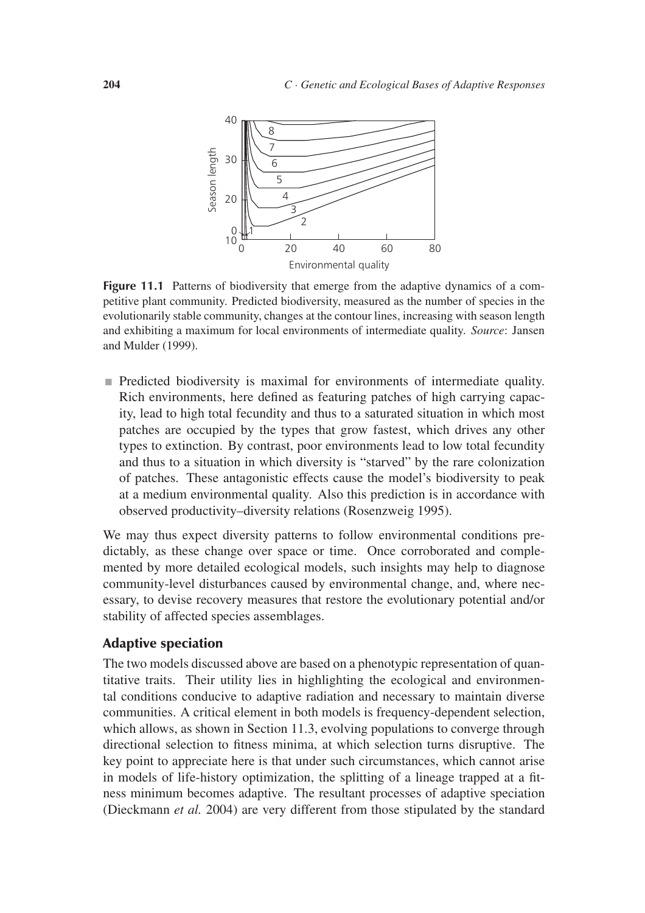

**Figure 11.1** Patterns of biodiversity that emerge from the adaptive dynamics of a competitive plant community. Predicted biodiversity, measured as the number of species in the evolutionarily stable community, changes at the contour lines, increasing with season length and exhibiting a maximum for local environments of intermediate quality. *Source*: Jansen and Mulder (1999).

**Predicted biodiversity is maximal for environments of intermediate quality.** Rich environments, here defined as featuring patches of high carrying capacity, lead to high total fecundity and thus to a saturated situation in which most patches are occupied by the types that grow fastest, which drives any other types to extinction. By contrast, poor environments lead to low total fecundity and thus to a situation in which diversity is "starved" by the rare colonization of patches. These antagonistic effects cause the model's biodiversity to peak at a medium environmental quality. Also this prediction is in accordance with observed productivity–diversity relations (Rosenzweig 1995).

We may thus expect diversity patterns to follow environmental conditions predictably, as these change over space or time. Once corroborated and complemented by more detailed ecological models, such insights may help to diagnose community-level disturbances caused by environmental change, and, where necessary, to devise recovery measures that restore the evolutionary potential and/or stability of affected species assemblages.

# Adaptive speciation

The two models discussed above are based on a phenotypic representation of quantitative traits. Their utility lies in highlighting the ecological and environmental conditions conducive to adaptive radiation and necessary to maintain diverse communities. A critical element in both models is frequency-dependent selection, which allows, as shown in Section 11.3, evolving populations to converge through directional selection to fitness minima, at which selection turns disruptive. The key point to appreciate here is that under such circumstances, which cannot arise in models of life-history optimization, the splitting of a lineage trapped at a fitness minimum becomes adaptive. The resultant processes of adaptive speciation (Dieckmann *et al.* 2004) are very different from those stipulated by the standard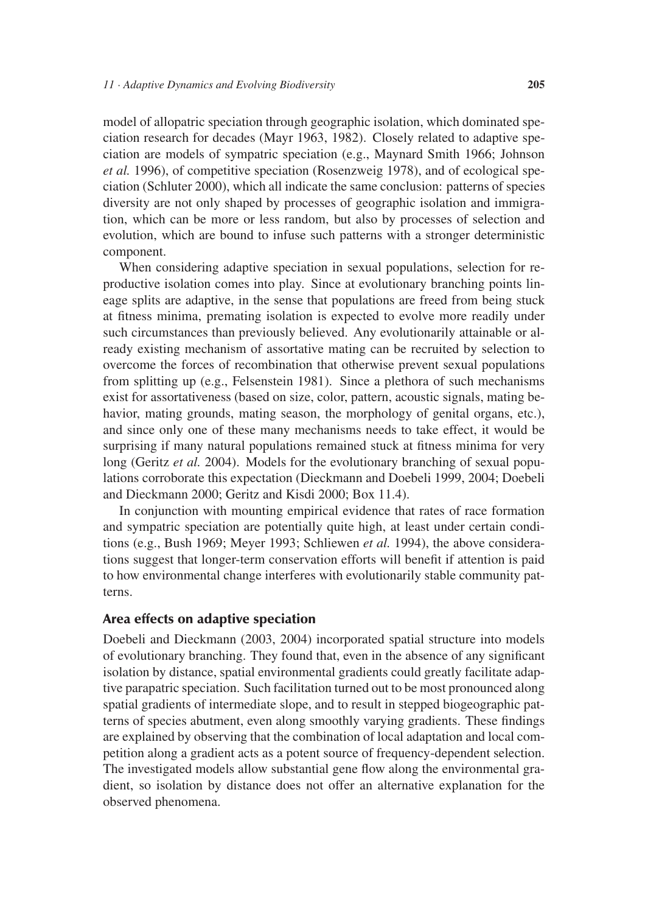model of allopatric speciation through geographic isolation, which dominated speciation research for decades (Mayr 1963, 1982). Closely related to adaptive speciation are models of sympatric speciation (e.g., Maynard Smith 1966; Johnson *et al.* 1996), of competitive speciation (Rosenzweig 1978), and of ecological speciation (Schluter 2000), which all indicate the same conclusion: patterns of species diversity are not only shaped by processes of geographic isolation and immigration, which can be more or less random, but also by processes of selection and evolution, which are bound to infuse such patterns with a stronger deterministic component.

When considering adaptive speciation in sexual populations, selection for reproductive isolation comes into play. Since at evolutionary branching points lineage splits are adaptive, in the sense that populations are freed from being stuck at fitness minima, premating isolation is expected to evolve more readily under such circumstances than previously believed. Any evolutionarily attainable or already existing mechanism of assortative mating can be recruited by selection to overcome the forces of recombination that otherwise prevent sexual populations from splitting up (e.g., Felsenstein 1981). Since a plethora of such mechanisms exist for assortativeness (based on size, color, pattern, acoustic signals, mating behavior, mating grounds, mating season, the morphology of genital organs, etc.), and since only one of these many mechanisms needs to take effect, it would be surprising if many natural populations remained stuck at fitness minima for very long (Geritz *et al.* 2004). Models for the evolutionary branching of sexual populations corroborate this expectation (Dieckmann and Doebeli 1999, 2004; Doebeli and Dieckmann 2000; Geritz and Kisdi 2000; Box 11.4).

In conjunction with mounting empirical evidence that rates of race formation and sympatric speciation are potentially quite high, at least under certain conditions (e.g., Bush 1969; Meyer 1993; Schliewen *et al.* 1994), the above considerations suggest that longer-term conservation efforts will benefit if attention is paid to how environmental change interferes with evolutionarily stable community patterns.

# Area effects on adaptive speciation

Doebeli and Dieckmann (2003, 2004) incorporated spatial structure into models of evolutionary branching. They found that, even in the absence of any significant isolation by distance, spatial environmental gradients could greatly facilitate adaptive parapatric speciation. Such facilitation turned out to be most pronounced along spatial gradients of intermediate slope, and to result in stepped biogeographic patterns of species abutment, even along smoothly varying gradients. These findings are explained by observing that the combination of local adaptation and local competition along a gradient acts as a potent source of frequency-dependent selection. The investigated models allow substantial gene flow along the environmental gradient, so isolation by distance does not offer an alternative explanation for the observed phenomena.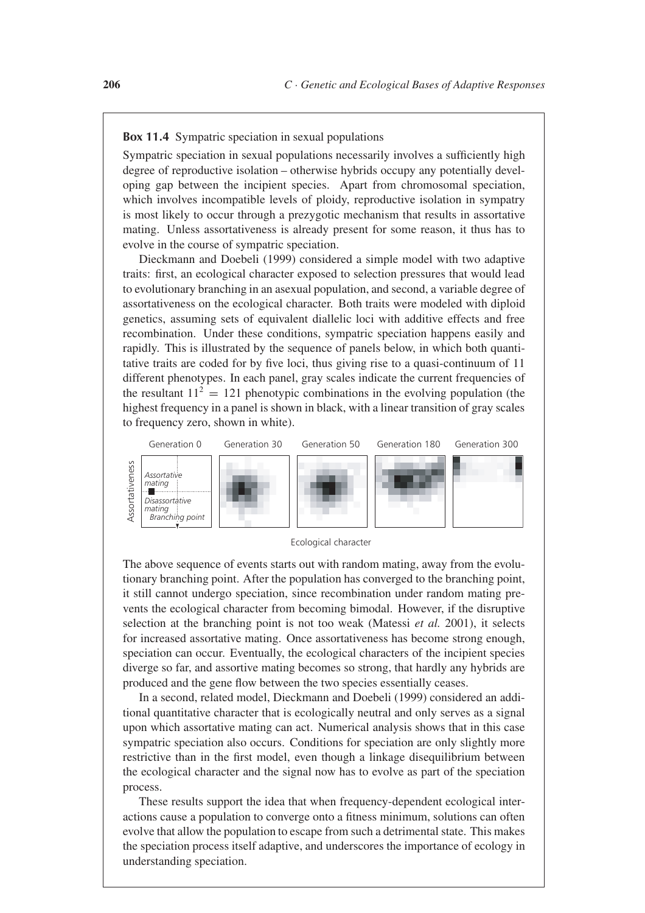#### **Box 11.4** Sympatric speciation in sexual populations

Sympatric speciation in sexual populations necessarily involves a sufficiently high degree of reproductive isolation – otherwise hybrids occupy any potentially developing gap between the incipient species. Apart from chromosomal speciation, which involves incompatible levels of ploidy, reproductive isolation in sympatry is most likely to occur through a prezygotic mechanism that results in assortative mating. Unless assortativeness is already present for some reason, it thus has to evolve in the course of sympatric speciation.

Dieckmann and Doebeli (1999) considered a simple model with two adaptive traits: first, an ecological character exposed to selection pressures that would lead to evolutionary branching in an asexual population, and second, a variable degree of assortativeness on the ecological character. Both traits were modeled with diploid genetics, assuming sets of equivalent diallelic loci with additive effects and free recombination. Under these conditions, sympatric speciation happens easily and rapidly. This is illustrated by the sequence of panels below, in which both quantitative traits are coded for by five loci, thus giving rise to a quasi-continuum of 11 different phenotypes. In each panel, gray scales indicate the current frequencies of the resultant  $11^2 = 121$  phenotypic combinations in the evolving population (the highest frequency in a panel is shown in black, with a linear transition of gray scales to frequency zero, shown in white).



Ecological character

The above sequence of events starts out with random mating, away from the evolutionary branching point. After the population has converged to the branching point, it still cannot undergo speciation, since recombination under random mating prevents the ecological character from becoming bimodal. However, if the disruptive selection at the branching point is not too weak (Matessi *et al.* 2001), it selects for increased assortative mating. Once assortativeness has become strong enough, speciation can occur. Eventually, the ecological characters of the incipient species diverge so far, and assortive mating becomes so strong, that hardly any hybrids are produced and the gene flow between the two species essentially ceases.

In a second, related model, Dieckmann and Doebeli (1999) considered an additional quantitative character that is ecologically neutral and only serves as a signal upon which assortative mating can act. Numerical analysis shows that in this case sympatric speciation also occurs. Conditions for speciation are only slightly more restrictive than in the first model, even though a linkage disequilibrium between the ecological character and the signal now has to evolve as part of the speciation process.

These results support the idea that when frequency-dependent ecological interactions cause a population to converge onto a fitness minimum, solutions can often evolve that allow the population to escape from such a detrimental state. This makes the speciation process itself adaptive, and underscores the importance of ecology in understanding speciation.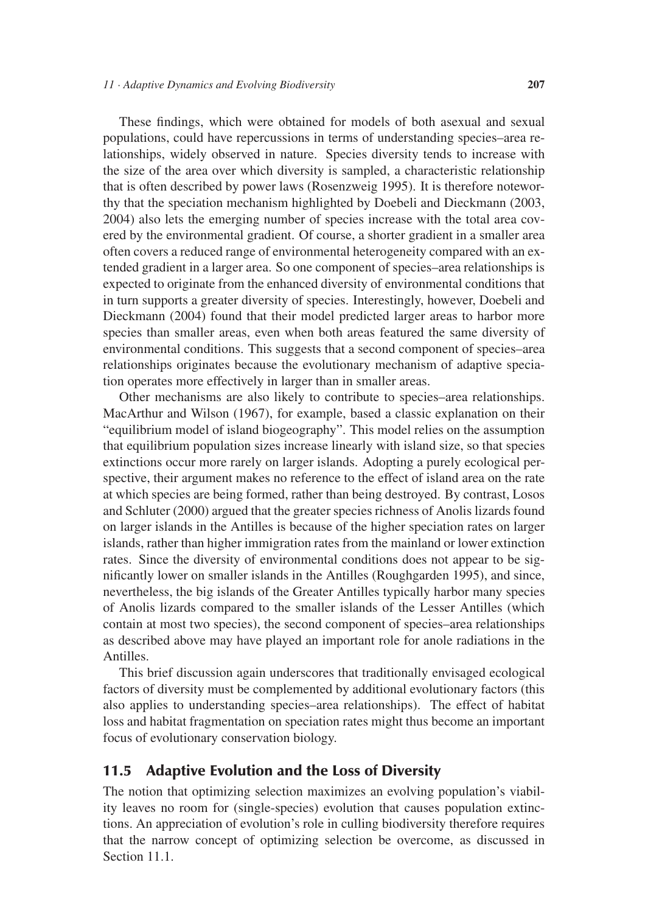These findings, which were obtained for models of both asexual and sexual populations, could have repercussions in terms of understanding species–area relationships, widely observed in nature. Species diversity tends to increase with the size of the area over which diversity is sampled, a characteristic relationship that is often described by power laws (Rosenzweig 1995). It is therefore noteworthy that the speciation mechanism highlighted by Doebeli and Dieckmann (2003, 2004) also lets the emerging number of species increase with the total area covered by the environmental gradient. Of course, a shorter gradient in a smaller area often covers a reduced range of environmental heterogeneity compared with an extended gradient in a larger area. So one component of species–area relationships is expected to originate from the enhanced diversity of environmental conditions that in turn supports a greater diversity of species. Interestingly, however, Doebeli and Dieckmann (2004) found that their model predicted larger areas to harbor more species than smaller areas, even when both areas featured the same diversity of environmental conditions. This suggests that a second component of species–area relationships originates because the evolutionary mechanism of adaptive speciation operates more effectively in larger than in smaller areas.

Other mechanisms are also likely to contribute to species–area relationships. MacArthur and Wilson (1967), for example, based a classic explanation on their "equilibrium model of island biogeography". This model relies on the assumption that equilibrium population sizes increase linearly with island size, so that species extinctions occur more rarely on larger islands. Adopting a purely ecological perspective, their argument makes no reference to the effect of island area on the rate at which species are being formed, rather than being destroyed. By contrast, Losos and Schluter (2000) argued that the greater species richness of Anolis lizards found on larger islands in the Antilles is because of the higher speciation rates on larger islands, rather than higher immigration rates from the mainland or lower extinction rates. Since the diversity of environmental conditions does not appear to be significantly lower on smaller islands in the Antilles (Roughgarden 1995), and since, nevertheless, the big islands of the Greater Antilles typically harbor many species of Anolis lizards compared to the smaller islands of the Lesser Antilles (which contain at most two species), the second component of species–area relationships as described above may have played an important role for anole radiations in the Antilles.

This brief discussion again underscores that traditionally envisaged ecological factors of diversity must be complemented by additional evolutionary factors (this also applies to understanding species–area relationships). The effect of habitat loss and habitat fragmentation on speciation rates might thus become an important focus of evolutionary conservation biology.

# 11.5 Adaptive Evolution and the Loss of Diversity

The notion that optimizing selection maximizes an evolving population's viability leaves no room for (single-species) evolution that causes population extinctions. An appreciation of evolution's role in culling biodiversity therefore requires that the narrow concept of optimizing selection be overcome, as discussed in Section 11.1.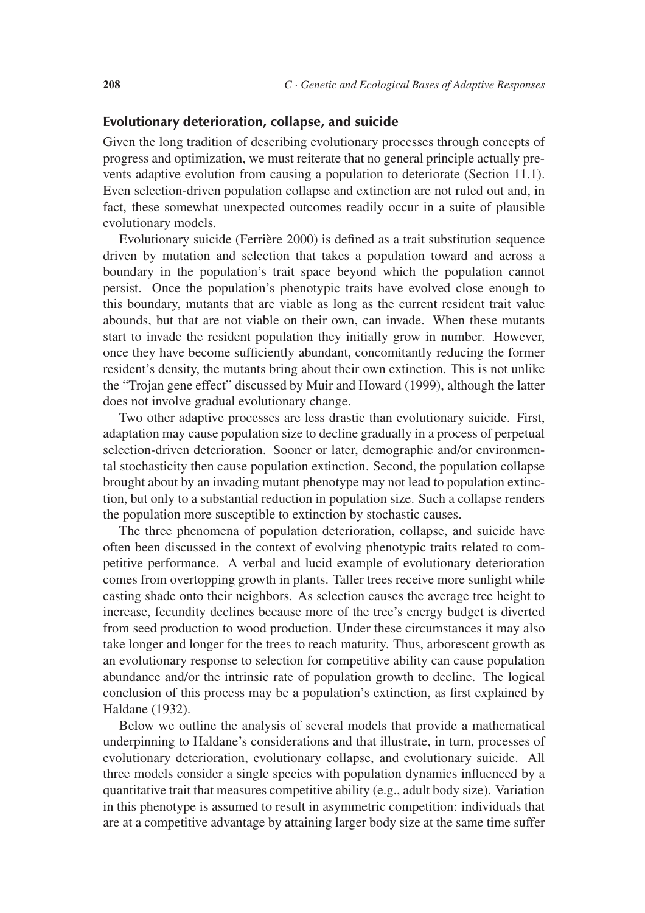### Evolutionary deterioration, collapse, and suicide

Given the long tradition of describing evolutionary processes through concepts of progress and optimization, we must reiterate that no general principle actually prevents adaptive evolution from causing a population to deteriorate (Section 11.1). Even selection-driven population collapse and extinction are not ruled out and, in fact, these somewhat unexpected outcomes readily occur in a suite of plausible evolutionary models.

Evolutionary suicide (Ferrière 2000) is defined as a trait substitution sequence driven by mutation and selection that takes a population toward and across a boundary in the population's trait space beyond which the population cannot persist. Once the population's phenotypic traits have evolved close enough to this boundary, mutants that are viable as long as the current resident trait value abounds, but that are not viable on their own, can invade. When these mutants start to invade the resident population they initially grow in number. However, once they have become sufficiently abundant, concomitantly reducing the former resident's density, the mutants bring about their own extinction. This is not unlike the "Trojan gene effect" discussed by Muir and Howard (1999), although the latter does not involve gradual evolutionary change.

Two other adaptive processes are less drastic than evolutionary suicide. First, adaptation may cause population size to decline gradually in a process of perpetual selection-driven deterioration. Sooner or later, demographic and/or environmental stochasticity then cause population extinction. Second, the population collapse brought about by an invading mutant phenotype may not lead to population extinction, but only to a substantial reduction in population size. Such a collapse renders the population more susceptible to extinction by stochastic causes.

The three phenomena of population deterioration, collapse, and suicide have often been discussed in the context of evolving phenotypic traits related to competitive performance. A verbal and lucid example of evolutionary deterioration comes from overtopping growth in plants. Taller trees receive more sunlight while casting shade onto their neighbors. As selection causes the average tree height to increase, fecundity declines because more of the tree's energy budget is diverted from seed production to wood production. Under these circumstances it may also take longer and longer for the trees to reach maturity. Thus, arborescent growth as an evolutionary response to selection for competitive ability can cause population abundance and/or the intrinsic rate of population growth to decline. The logical conclusion of this process may be a population's extinction, as first explained by Haldane (1932).

Below we outline the analysis of several models that provide a mathematical underpinning to Haldane's considerations and that illustrate, in turn, processes of evolutionary deterioration, evolutionary collapse, and evolutionary suicide. All three models consider a single species with population dynamics influenced by a quantitative trait that measures competitive ability (e.g., adult body size). Variation in this phenotype is assumed to result in asymmetric competition: individuals that are at a competitive advantage by attaining larger body size at the same time suffer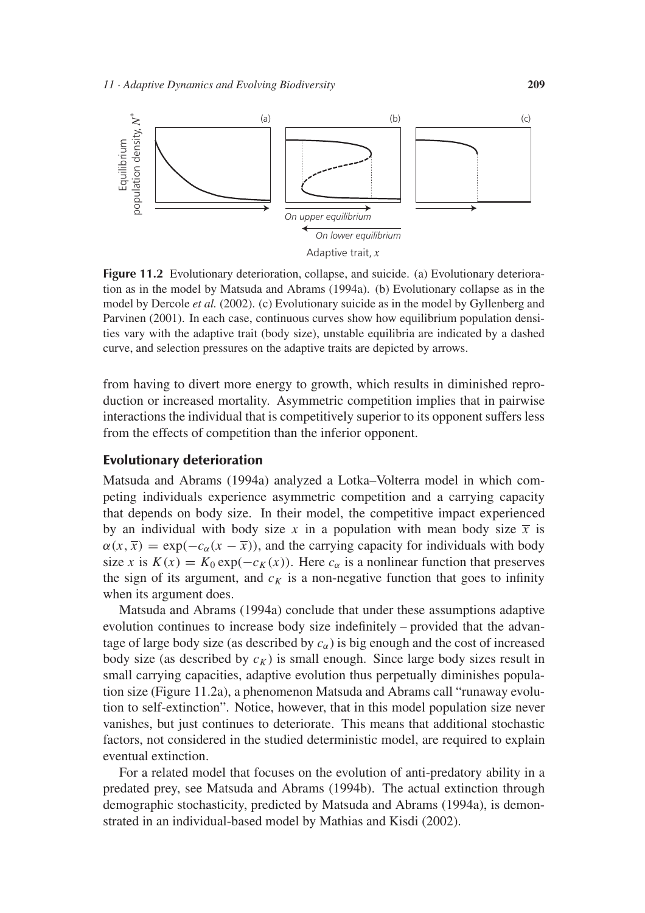

**Figure 11.2** Evolutionary deterioration, collapse, and suicide. (a) Evolutionary deterioration as in the model by Matsuda and Abrams (1994a). (b) Evolutionary collapse as in the model by Dercole *et al.* (2002). (c) Evolutionary suicide as in the model by Gyllenberg and Parvinen (2001). In each case, continuous curves show how equilibrium population densities vary with the adaptive trait (body size), unstable equilibria are indicated by a dashed curve, and selection pressures on the adaptive traits are depicted by arrows.

from having to divert more energy to growth, which results in diminished reproduction or increased mortality. Asymmetric competition implies that in pairwise interactions the individual that is competitively superior to its opponent suffers less from the effects of competition than the inferior opponent.

# Evolutionary deterioration

Matsuda and Abrams (1994a) analyzed a Lotka–Volterra model in which competing individuals experience asymmetric competition and a carrying capacity that depends on body size. In their model, the competitive impact experienced by an individual with body size x in a population with mean body size  $\bar{x}$  is  $\alpha(x,\overline{x}) = \exp(-c_{\alpha}(x-\overline{x}))$ , and the carrying capacity for individuals with body size *x* is  $K(x) = K_0 \exp(-c_K(x))$ . Here  $c_\alpha$  is a nonlinear function that preserves the sign of its argument, and  $c_K$  is a non-negative function that goes to infinity when its argument does.

Matsuda and Abrams (1994a) conclude that under these assumptions adaptive evolution continues to increase body size indefinitely – provided that the advantage of large body size (as described by  $c_{\alpha}$ ) is big enough and the cost of increased body size (as described by  $c_K$ ) is small enough. Since large body sizes result in small carrying capacities, adaptive evolution thus perpetually diminishes population size (Figure 11.2a), a phenomenon Matsuda and Abrams call "runaway evolution to self-extinction". Notice, however, that in this model population size never vanishes, but just continues to deteriorate. This means that additional stochastic factors, not considered in the studied deterministic model, are required to explain eventual extinction.

For a related model that focuses on the evolution of anti-predatory ability in a predated prey, see Matsuda and Abrams (1994b). The actual extinction through demographic stochasticity, predicted by Matsuda and Abrams (1994a), is demonstrated in an individual-based model by Mathias and Kisdi (2002).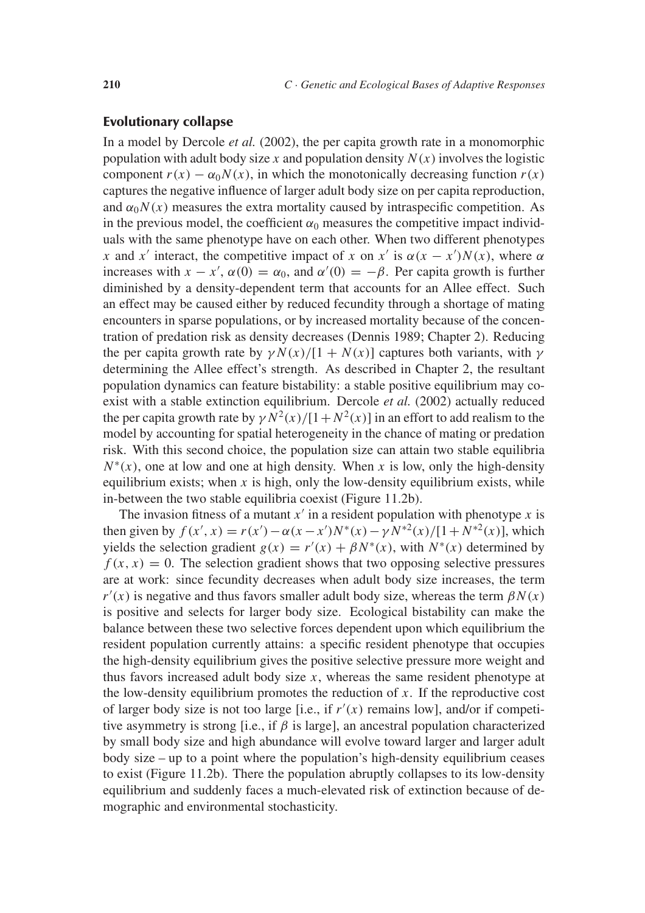### Evolutionary collapse

In a model by Dercole *et al.* (2002), the per capita growth rate in a monomorphic population with adult body size *x* and population density  $N(x)$  involves the logistic component  $r(x) - \alpha_0 N(x)$ , in which the monotonically decreasing function  $r(x)$ captures the negative influence of larger adult body size on per capita reproduction, and  $\alpha_0 N(x)$  measures the extra mortality caused by intraspecific competition. As in the previous model, the coefficient  $\alpha_0$  measures the competitive impact individuals with the same phenotype have on each other. When two different phenotypes *x* and *x*<sup> $\prime$ </sup> interact, the competitive impact of *x* on *x*<sup> $\prime$ </sup> is  $\alpha(x - x')N(x)$ , where  $\alpha$ increases with  $x - x'$ ,  $\alpha(0) = \alpha_0$ , and  $\alpha'(0) = -\beta$ . Per capita growth is further diminished by a density-dependent term that accounts for an Allee effect. Such an effect may be caused either by reduced fecundity through a shortage of mating encounters in sparse populations, or by increased mortality because of the concentration of predation risk as density decreases (Dennis 1989; Chapter 2). Reducing the per capita growth rate by  $\gamma N(x)/[1 + N(x)]$  captures both variants, with  $\gamma$ determining the Allee effect's strength. As described in Chapter 2, the resultant population dynamics can feature bistability: a stable positive equilibrium may coexist with a stable extinction equilibrium. Dercole *et al.* (2002) actually reduced the per capita growth rate by  $\gamma N^2(x)/[1 + N^2(x)]$  in an effort to add realism to the model by accounting for spatial heterogeneity in the chance of mating or predation risk. With this second choice, the population size can attain two stable equilibria  $N^*(x)$ , one at low and one at high density. When *x* is low, only the high-density equilibrium exists; when  $x$  is high, only the low-density equilibrium exists, while in-between the two stable equilibria coexist (Figure 11.2b).

The invasion fitness of a mutant  $x'$  in a resident population with phenotype  $x$  is then given by  $f(x', x) = r(x') - \alpha(x - x')N^*(x) - \gamma N^{*2}(x) / [1 + N^{*2}(x)]$ , which yields the selection gradient  $g(x) = r'(x) + \beta N^*(x)$ , with  $N^*(x)$  determined by  $f(x, x) = 0$ . The selection gradient shows that two opposing selective pressures are at work: since fecundity decreases when adult body size increases, the term  $r'(x)$  is negative and thus favors smaller adult body size, whereas the term  $\beta N(x)$ is positive and selects for larger body size. Ecological bistability can make the balance between these two selective forces dependent upon which equilibrium the resident population currently attains: a specific resident phenotype that occupies the high-density equilibrium gives the positive selective pressure more weight and thus favors increased adult body size  $x$ , whereas the same resident phenotype at the low-density equilibrium promotes the reduction of *x*. If the reproductive cost of larger body size is not too large [i.e., if  $r'(x)$  remains low], and/or if competitive asymmetry is strong [i.e., if  $\beta$  is large], an ancestral population characterized by small body size and high abundance will evolve toward larger and larger adult body size – up to a point where the population's high-density equilibrium ceases to exist (Figure 11.2b). There the population abruptly collapses to its low-density equilibrium and suddenly faces a much-elevated risk of extinction because of demographic and environmental stochasticity.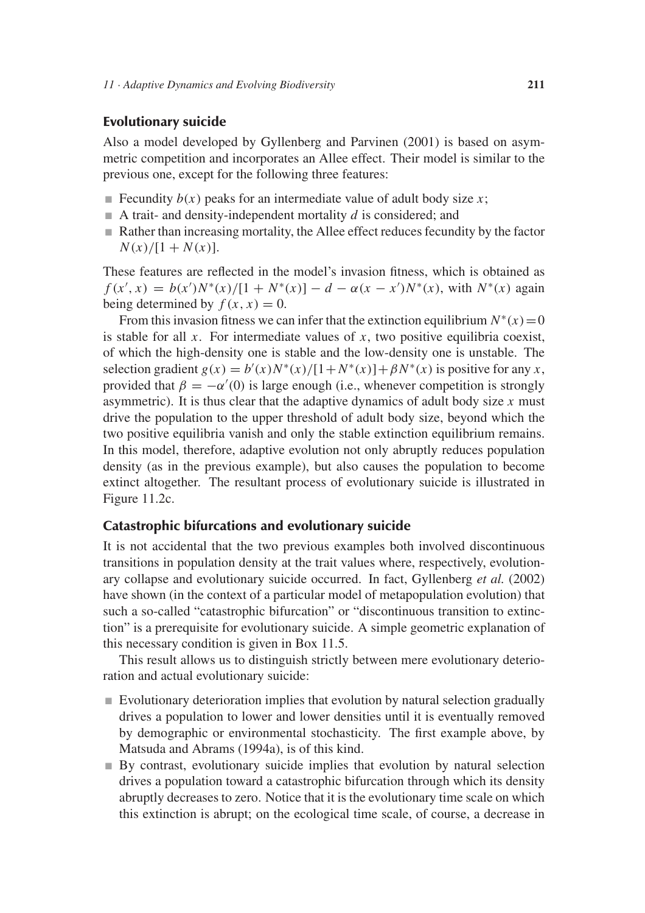### Evolutionary suicide

Also a model developed by Gyllenberg and Parvinen (2001) is based on asymmetric competition and incorporates an Allee effect. Their model is similar to the previous one, except for the following three features:

- Fecundity  $b(x)$  peaks for an intermediate value of adult body size x;
- $\blacksquare$  A trait- and density-independent mortality *d* is considered; and
- $\blacksquare$  Rather than increasing mortality, the Allee effect reduces fecundity by the factor  $N(x)/[1 + N(x)].$

These features are reflected in the model's invasion fitness, which is obtained as  $f(x', x) = b(x')N^*(x) / [1 + N^*(x)] - d - \alpha(x - x')N^*(x)$ , with  $N^*(x)$  again being determined by  $f(x, x) = 0$ .

From this invasion fitness we can infer that the extinction equilibrium  $N^*(x)=0$ is stable for all  $x$ . For intermediate values of  $x$ , two positive equilibria coexist, of which the high-density one is stable and the low-density one is unstable. The selection gradient  $g(x) = b'(x)N^*(x) / [1 + N^*(x)] + \beta N^*(x)$  is positive for any *x*, provided that  $\beta = -\alpha'(0)$  is large enough (i.e., whenever competition is strongly asymmetric). It is thus clear that the adaptive dynamics of adult body size *x* must drive the population to the upper threshold of adult body size, beyond which the two positive equilibria vanish and only the stable extinction equilibrium remains. In this model, therefore, adaptive evolution not only abruptly reduces population density (as in the previous example), but also causes the population to become extinct altogether. The resultant process of evolutionary suicide is illustrated in Figure 11.2c.

### Catastrophic bifurcations and evolutionary suicide

It is not accidental that the two previous examples both involved discontinuous transitions in population density at the trait values where, respectively, evolutionary collapse and evolutionary suicide occurred. In fact, Gyllenberg *et al.* (2002) have shown (in the context of a particular model of metapopulation evolution) that such a so-called "catastrophic bifurcation" or "discontinuous transition to extinction" is a prerequisite for evolutionary suicide. A simple geometric explanation of this necessary condition is given in Box 11.5.

This result allows us to distinguish strictly between mere evolutionary deterioration and actual evolutionary suicide:

- Evolutionary deterioration implies that evolution by natural selection gradually drives a population to lower and lower densities until it is eventually removed by demographic or environmental stochasticity. The first example above, by Matsuda and Abrams (1994a), is of this kind.
- By contrast, evolutionary suicide implies that evolution by natural selection drives a population toward a catastrophic bifurcation through which its density abruptly decreases to zero. Notice that it is the evolutionary time scale on which this extinction is abrupt; on the ecological time scale, of course, a decrease in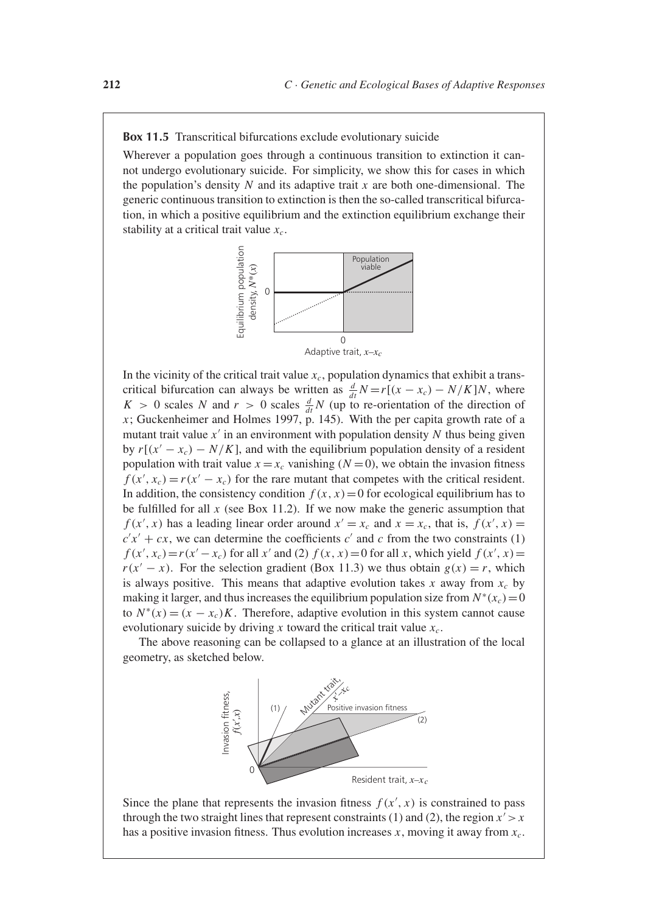**Box 11.5** Transcritical bifurcations exclude evolutionary suicide

Wherever a population goes through a continuous transition to extinction it cannot undergo evolutionary suicide. For simplicity, we show this for cases in which the population's density *N* and its adaptive trait *x* are both one-dimensional. The generic continuous transition to extinction is then the so-called transcritical bifurcation, in which a positive equilibrium and the extinction equilibrium exchange their stability at a critical trait value *xc*.



In the vicinity of the critical trait value  $x_c$ , population dynamics that exhibit a transcritical bifurcation can always be written as  $\frac{d}{dt}N = r[(x - x_c) - N/K]N$ , where  $K > 0$  scales *N* and  $r > 0$  scales  $\frac{d}{dt}N$  (up to re-orientation of the direction of *x*; Guckenheimer and Holmes 1997, p. 145). With the per capita growth rate of a mutant trait value  $x'$  in an environment with population density  $N$  thus being given by  $r[(x'-x_c)-N/K]$ , and with the equilibrium population density of a resident population with trait value  $x = x_c$  vanishing ( $N = 0$ ), we obtain the invasion fitness  $f(x', x_c) = r(x' - x_c)$  for the rare mutant that competes with the critical resident. In addition, the consistency condition  $f(x, x) = 0$  for ecological equilibrium has to be fulfilled for all  $x$  (see Box 11.2). If we now make the generic assumption that  $f(x', x)$  has a leading linear order around  $x' = x_c$  and  $x = x_c$ , that is,  $f(x', x) =$  $c'x' + cx$ , we can determine the coefficients *c*' and *c* from the two constraints (1)  $f(x', x_c) = r(x' - x_c)$  for all *x*' and (2)  $f(x, x) = 0$  for all *x*, which yield  $f(x', x) =$  $r(x'-x)$ . For the selection gradient (Box 11.3) we thus obtain  $g(x) = r$ , which is always positive. This means that adaptive evolution takes  $x$  away from  $x_c$  by making it larger, and thus increases the equilibrium population size from  $N^*(x_c)=0$ to  $N^*(x) = (x - x_c)K$ . Therefore, adaptive evolution in this system cannot cause evolutionary suicide by driving  $x$  toward the critical trait value  $x_c$ .

The above reasoning can be collapsed to a glance at an illustration of the local geometry, as sketched below.



Since the plane that represents the invasion fitness  $f(x', x)$  is constrained to pass through the two straight lines that represent constraints (1) and (2), the region  $x' > x$ has a positive invasion fitness. Thus evolution increases *x*, moving it away from *xc*.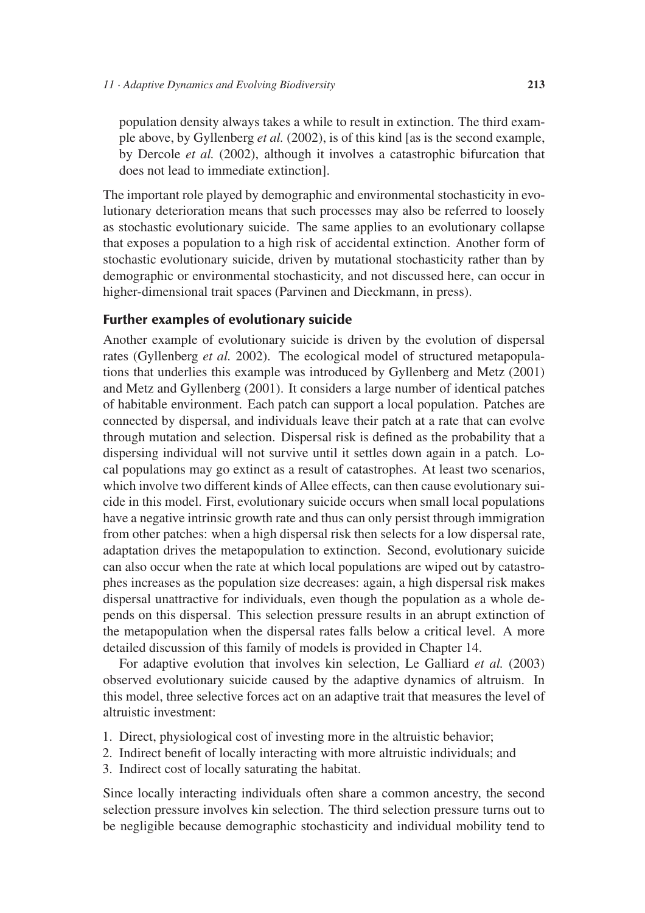population density always takes a while to result in extinction. The third example above, by Gyllenberg *et al.* (2002), is of this kind [as is the second example, by Dercole *et al.* (2002), although it involves a catastrophic bifurcation that does not lead to immediate extinction].

The important role played by demographic and environmental stochasticity in evolutionary deterioration means that such processes may also be referred to loosely as stochastic evolutionary suicide. The same applies to an evolutionary collapse that exposes a population to a high risk of accidental extinction. Another form of stochastic evolutionary suicide, driven by mutational stochasticity rather than by demographic or environmental stochasticity, and not discussed here, can occur in higher-dimensional trait spaces (Parvinen and Dieckmann, in press).

# Further examples of evolutionary suicide

Another example of evolutionary suicide is driven by the evolution of dispersal rates (Gyllenberg *et al.* 2002). The ecological model of structured metapopulations that underlies this example was introduced by Gyllenberg and Metz (2001) and Metz and Gyllenberg (2001). It considers a large number of identical patches of habitable environment. Each patch can support a local population. Patches are connected by dispersal, and individuals leave their patch at a rate that can evolve through mutation and selection. Dispersal risk is defined as the probability that a dispersing individual will not survive until it settles down again in a patch. Local populations may go extinct as a result of catastrophes. At least two scenarios, which involve two different kinds of Allee effects, can then cause evolutionary suicide in this model. First, evolutionary suicide occurs when small local populations have a negative intrinsic growth rate and thus can only persist through immigration from other patches: when a high dispersal risk then selects for a low dispersal rate, adaptation drives the metapopulation to extinction. Second, evolutionary suicide can also occur when the rate at which local populations are wiped out by catastrophes increases as the population size decreases: again, a high dispersal risk makes dispersal unattractive for individuals, even though the population as a whole depends on this dispersal. This selection pressure results in an abrupt extinction of the metapopulation when the dispersal rates falls below a critical level. A more detailed discussion of this family of models is provided in Chapter 14.

For adaptive evolution that involves kin selection, Le Galliard *et al.* (2003) observed evolutionary suicide caused by the adaptive dynamics of altruism. In this model, three selective forces act on an adaptive trait that measures the level of altruistic investment:

- 1. Direct, physiological cost of investing more in the altruistic behavior;
- 2. Indirect benefit of locally interacting with more altruistic individuals; and
- 3. Indirect cost of locally saturating the habitat.

Since locally interacting individuals often share a common ancestry, the second selection pressure involves kin selection. The third selection pressure turns out to be negligible because demographic stochasticity and individual mobility tend to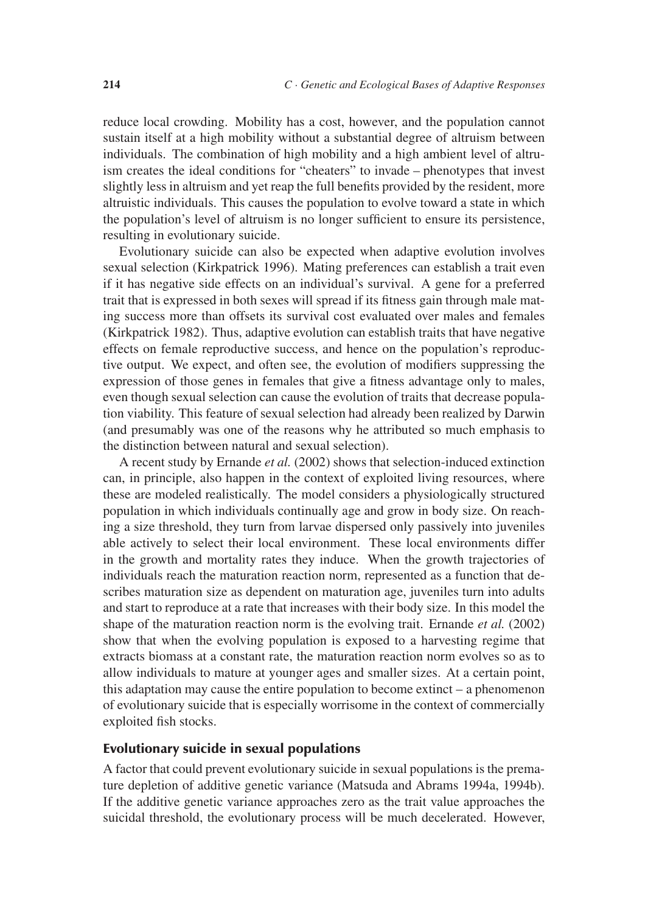reduce local crowding. Mobility has a cost, however, and the population cannot sustain itself at a high mobility without a substantial degree of altruism between individuals. The combination of high mobility and a high ambient level of altruism creates the ideal conditions for "cheaters" to invade – phenotypes that invest slightly less in altruism and yet reap the full benefits provided by the resident, more altruistic individuals. This causes the population to evolve toward a state in which the population's level of altruism is no longer sufficient to ensure its persistence, resulting in evolutionary suicide.

Evolutionary suicide can also be expected when adaptive evolution involves sexual selection (Kirkpatrick 1996). Mating preferences can establish a trait even if it has negative side effects on an individual's survival. A gene for a preferred trait that is expressed in both sexes will spread if its fitness gain through male mating success more than offsets its survival cost evaluated over males and females (Kirkpatrick 1982). Thus, adaptive evolution can establish traits that have negative effects on female reproductive success, and hence on the population's reproductive output. We expect, and often see, the evolution of modifiers suppressing the expression of those genes in females that give a fitness advantage only to males, even though sexual selection can cause the evolution of traits that decrease population viability. This feature of sexual selection had already been realized by Darwin (and presumably was one of the reasons why he attributed so much emphasis to the distinction between natural and sexual selection).

A recent study by Ernande *et al.* (2002) shows that selection-induced extinction can, in principle, also happen in the context of exploited living resources, where these are modeled realistically. The model considers a physiologically structured population in which individuals continually age and grow in body size. On reaching a size threshold, they turn from larvae dispersed only passively into juveniles able actively to select their local environment. These local environments differ in the growth and mortality rates they induce. When the growth trajectories of individuals reach the maturation reaction norm, represented as a function that describes maturation size as dependent on maturation age, juveniles turn into adults and start to reproduce at a rate that increases with their body size. In this model the shape of the maturation reaction norm is the evolving trait. Ernande *et al.* (2002) show that when the evolving population is exposed to a harvesting regime that extracts biomass at a constant rate, the maturation reaction norm evolves so as to allow individuals to mature at younger ages and smaller sizes. At a certain point, this adaptation may cause the entire population to become extinct – a phenomenon of evolutionary suicide that is especially worrisome in the context of commercially exploited fish stocks.

# Evolutionary suicide in sexual populations

A factor that could prevent evolutionary suicide in sexual populations is the premature depletion of additive genetic variance (Matsuda and Abrams 1994a, 1994b). If the additive genetic variance approaches zero as the trait value approaches the suicidal threshold, the evolutionary process will be much decelerated. However,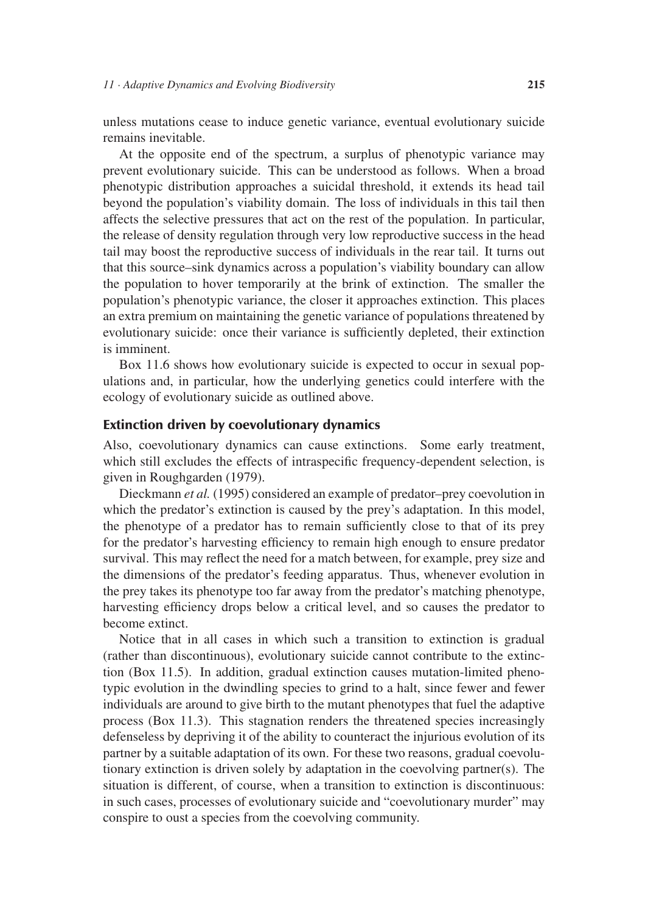unless mutations cease to induce genetic variance, eventual evolutionary suicide remains inevitable.

At the opposite end of the spectrum, a surplus of phenotypic variance may prevent evolutionary suicide. This can be understood as follows. When a broad phenotypic distribution approaches a suicidal threshold, it extends its head tail beyond the population's viability domain. The loss of individuals in this tail then affects the selective pressures that act on the rest of the population. In particular, the release of density regulation through very low reproductive success in the head tail may boost the reproductive success of individuals in the rear tail. It turns out that this source–sink dynamics across a population's viability boundary can allow the population to hover temporarily at the brink of extinction. The smaller the population's phenotypic variance, the closer it approaches extinction. This places an extra premium on maintaining the genetic variance of populations threatened by evolutionary suicide: once their variance is sufficiently depleted, their extinction is imminent.

Box 11.6 shows how evolutionary suicide is expected to occur in sexual populations and, in particular, how the underlying genetics could interfere with the ecology of evolutionary suicide as outlined above.

# Extinction driven by coevolutionary dynamics

Also, coevolutionary dynamics can cause extinctions. Some early treatment, which still excludes the effects of intraspecific frequency-dependent selection, is given in Roughgarden (1979).

Dieckmann *et al.* (1995) considered an example of predator–prey coevolution in which the predator's extinction is caused by the prey's adaptation. In this model, the phenotype of a predator has to remain sufficiently close to that of its prey for the predator's harvesting efficiency to remain high enough to ensure predator survival. This may reflect the need for a match between, for example, prey size and the dimensions of the predator's feeding apparatus. Thus, whenever evolution in the prey takes its phenotype too far away from the predator's matching phenotype, harvesting efficiency drops below a critical level, and so causes the predator to become extinct.

Notice that in all cases in which such a transition to extinction is gradual (rather than discontinuous), evolutionary suicide cannot contribute to the extinction (Box 11.5). In addition, gradual extinction causes mutation-limited phenotypic evolution in the dwindling species to grind to a halt, since fewer and fewer individuals are around to give birth to the mutant phenotypes that fuel the adaptive process (Box 11.3). This stagnation renders the threatened species increasingly defenseless by depriving it of the ability to counteract the injurious evolution of its partner by a suitable adaptation of its own. For these two reasons, gradual coevolutionary extinction is driven solely by adaptation in the coevolving partner(s). The situation is different, of course, when a transition to extinction is discontinuous: in such cases, processes of evolutionary suicide and "coevolutionary murder" may conspire to oust a species from the coevolving community.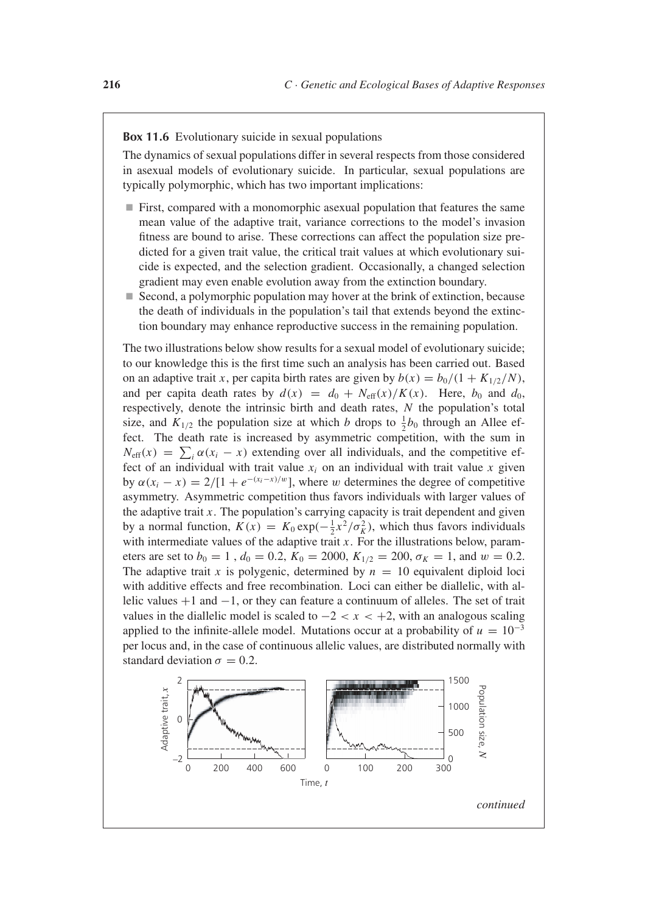#### **Box 11.6** Evolutionary suicide in sexual populations

The dynamics of sexual populations differ in several respects from those considered in asexual models of evolutionary suicide. In particular, sexual populations are typically polymorphic, which has two important implications:

- First, compared with a monomorphic asexual population that features the same mean value of the adaptive trait, variance corrections to the model's invasion fitness are bound to arise. These corrections can affect the population size predicted for a given trait value, the critical trait values at which evolutionary suicide is expected, and the selection gradient. Occasionally, a changed selection gradient may even enable evolution away from the extinction boundary.
- Second, a polymorphic population may hover at the brink of extinction, because the death of individuals in the population's tail that extends beyond the extinction boundary may enhance reproductive success in the remaining population.

The two illustrations below show results for a sexual model of evolutionary suicide; to our knowledge this is the first time such an analysis has been carried out. Based on an adaptive trait *x*, per capita birth rates are given by  $b(x) = b_0/(1 + K_{1/2}/N)$ , and per capita death rates by  $d(x) = d_0 + N_{\text{eff}}(x)/K(x)$ . Here,  $b_0$  and  $d_0$ , respectively, denote the intrinsic birth and death rates, *N* the population's total size, and  $K_{1/2}$  the population size at which *b* drops to  $\frac{1}{2}b_0$  through an Allee effect. The death rate is increased by asymmetric competition, with the sum in  $N_{\text{eff}}(x) = \sum_{i} \alpha(x_i - x)$  extending over all individuals, and the competitive effect of an individual with trait value  $x_i$  on an individual with trait value  $x$  given by  $\alpha(x_i - x) = 2/[1 + e^{-(x_i - x)/w}]$ , where w determines the degree of competitive asymmetry. Asymmetric competition thus favors individuals with larger values of the adaptive trait  $x$ . The population's carrying capacity is trait dependent and given by a normal function,  $K(x) = K_0 \exp(-\frac{1}{2}x^2/\sigma_K^2)$ , which thus favors individuals with intermediate values of the adaptive trait  $x$ . For the illustrations below, parameters are set to  $b_0 = 1$ ,  $d_0 = 0.2$ ,  $K_0 = 2000$ ,  $K_{1/2} = 200$ ,  $\sigma_K = 1$ , and  $w = 0.2$ . The adaptive trait *x* is polygenic, determined by  $n = 10$  equivalent diploid loci with additive effects and free recombination. Loci can either be diallelic, with allelic values +1 and −1, or they can feature a continuum of alleles. The set of trait values in the diallelic model is scaled to  $-2 < x < +2$ , with an analogous scaling applied to the infinite-allele model. Mutations occur at a probability of  $u = 10^{-3}$ per locus and, in the case of continuous allelic values, are distributed normally with standard deviation  $\sigma = 0.2$ .

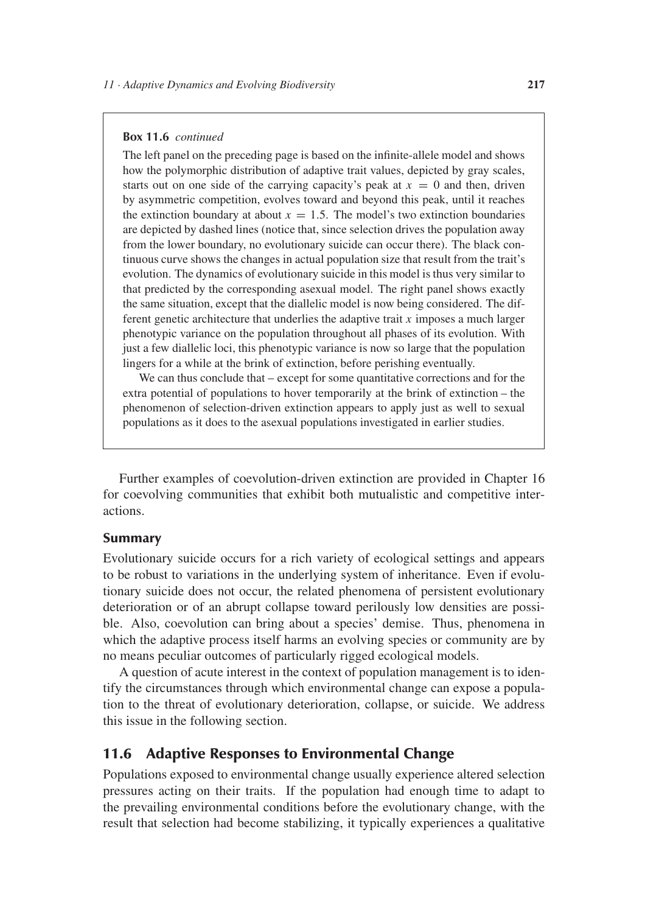#### **Box 11.6** *continued*

The left panel on the preceding page is based on the infinite-allele model and shows how the polymorphic distribution of adaptive trait values, depicted by gray scales, starts out on one side of the carrying capacity's peak at  $x = 0$  and then, driven by asymmetric competition, evolves toward and beyond this peak, until it reaches the extinction boundary at about  $x = 1.5$ . The model's two extinction boundaries are depicted by dashed lines (notice that, since selection drives the population away from the lower boundary, no evolutionary suicide can occur there). The black continuous curve shows the changes in actual population size that result from the trait's evolution. The dynamics of evolutionary suicide in this model is thus very similar to that predicted by the corresponding asexual model. The right panel shows exactly the same situation, except that the diallelic model is now being considered. The different genetic architecture that underlies the adaptive trait *x* imposes a much larger phenotypic variance on the population throughout all phases of its evolution. With just a few diallelic loci, this phenotypic variance is now so large that the population lingers for a while at the brink of extinction, before perishing eventually.

We can thus conclude that – except for some quantitative corrections and for the extra potential of populations to hover temporarily at the brink of extinction – the phenomenon of selection-driven extinction appears to apply just as well to sexual populations as it does to the asexual populations investigated in earlier studies.

Further examples of coevolution-driven extinction are provided in Chapter 16 for coevolving communities that exhibit both mutualistic and competitive interactions.

### Summary

Evolutionary suicide occurs for a rich variety of ecological settings and appears to be robust to variations in the underlying system of inheritance. Even if evolutionary suicide does not occur, the related phenomena of persistent evolutionary deterioration or of an abrupt collapse toward perilously low densities are possible. Also, coevolution can bring about a species' demise. Thus, phenomena in which the adaptive process itself harms an evolving species or community are by no means peculiar outcomes of particularly rigged ecological models.

A question of acute interest in the context of population management is to identify the circumstances through which environmental change can expose a population to the threat of evolutionary deterioration, collapse, or suicide. We address this issue in the following section.

# 11.6 Adaptive Responses to Environmental Change

Populations exposed to environmental change usually experience altered selection pressures acting on their traits. If the population had enough time to adapt to the prevailing environmental conditions before the evolutionary change, with the result that selection had become stabilizing, it typically experiences a qualitative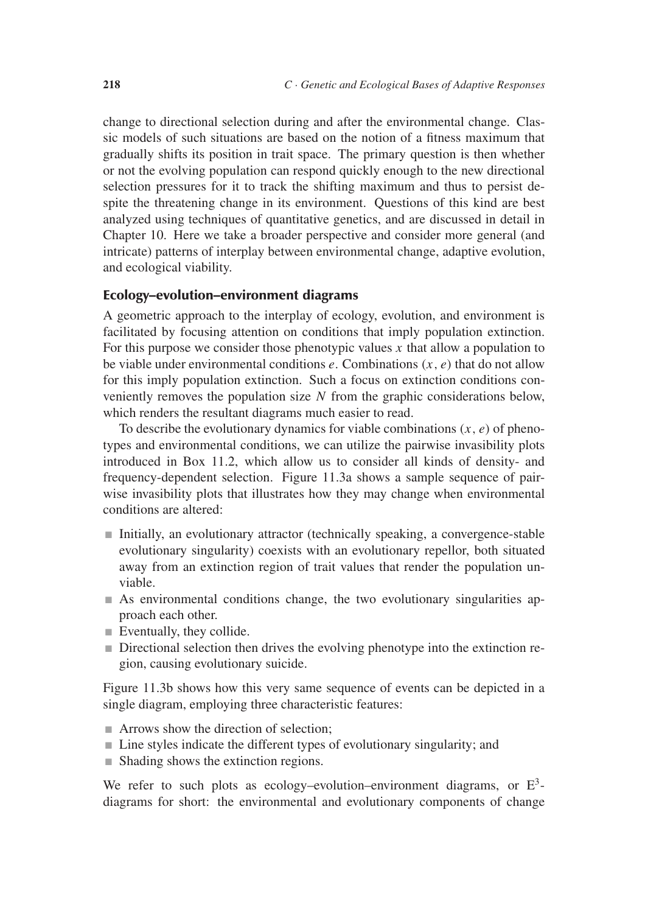change to directional selection during and after the environmental change. Classic models of such situations are based on the notion of a fitness maximum that gradually shifts its position in trait space. The primary question is then whether or not the evolving population can respond quickly enough to the new directional selection pressures for it to track the shifting maximum and thus to persist despite the threatening change in its environment. Questions of this kind are best analyzed using techniques of quantitative genetics, and are discussed in detail in Chapter 10. Here we take a broader perspective and consider more general (and intricate) patterns of interplay between environmental change, adaptive evolution, and ecological viability.

# Ecology–evolution–environment diagrams

A geometric approach to the interplay of ecology, evolution, and environment is facilitated by focusing attention on conditions that imply population extinction. For this purpose we consider those phenotypic values *x* that allow a population to be viable under environmental conditions *e*. Combinations (*x*, *e*) that do not allow for this imply population extinction. Such a focus on extinction conditions conveniently removes the population size *N* from the graphic considerations below, which renders the resultant diagrams much easier to read.

To describe the evolutionary dynamics for viable combinations  $(x, e)$  of phenotypes and environmental conditions, we can utilize the pairwise invasibility plots introduced in Box 11.2, which allow us to consider all kinds of density- and frequency-dependent selection. Figure 11.3a shows a sample sequence of pairwise invasibility plots that illustrates how they may change when environmental conditions are altered:

- Initially, an evolutionary attractor (technically speaking, a convergence-stable evolutionary singularity) coexists with an evolutionary repellor, both situated away from an extinction region of trait values that render the population unviable.
- As environmental conditions change, the two evolutionary singularities approach each other.
- Eventually, they collide.
- Directional selection then drives the evolving phenotype into the extinction region, causing evolutionary suicide.

Figure 11.3b shows how this very same sequence of events can be depicted in a single diagram, employing three characteristic features:

- Arrows show the direction of selection:
- Line styles indicate the different types of evolutionary singularity; and
- Shading shows the extinction regions.

We refer to such plots as ecology–evolution–environment diagrams, or  $E^3$ diagrams for short: the environmental and evolutionary components of change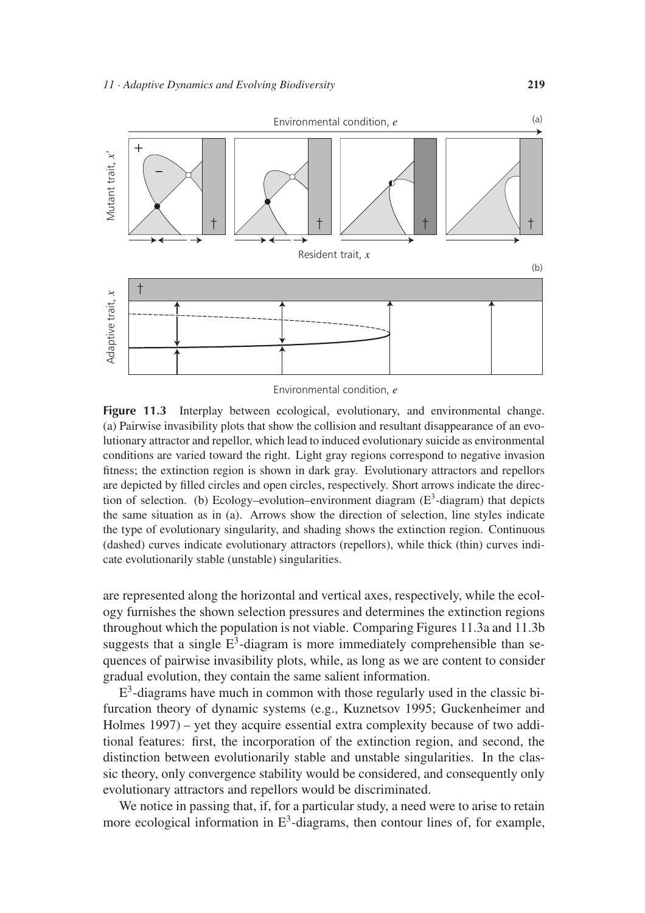

Environmental condition, *e*

**Figure 11.3** Interplay between ecological, evolutionary, and environmental change. (a) Pairwise invasibility plots that show the collision and resultant disappearance of an evolutionary attractor and repellor, which lead to induced evolutionary suicide as environmental conditions are varied toward the right. Light gray regions correspond to negative invasion fitness; the extinction region is shown in dark gray. Evolutionary attractors and repellors are depicted by filled circles and open circles, respectively. Short arrows indicate the direction of selection. (b) Ecology–evolution–environment diagram  $(E^3$ -diagram) that depicts the same situation as in (a). Arrows show the direction of selection, line styles indicate the type of evolutionary singularity, and shading shows the extinction region. Continuous (dashed) curves indicate evolutionary attractors (repellors), while thick (thin) curves indicate evolutionarily stable (unstable) singularities.

are represented along the horizontal and vertical axes, respectively, while the ecology furnishes the shown selection pressures and determines the extinction regions throughout which the population is not viable. Comparing Figures 11.3a and 11.3b suggests that a single  $E<sup>3</sup>$ -diagram is more immediately comprehensible than sequences of pairwise invasibility plots, while, as long as we are content to consider gradual evolution, they contain the same salient information.

 $E<sup>3</sup>$ -diagrams have much in common with those regularly used in the classic bifurcation theory of dynamic systems (e.g., Kuznetsov 1995; Guckenheimer and Holmes 1997) – yet they acquire essential extra complexity because of two additional features: first, the incorporation of the extinction region, and second, the distinction between evolutionarily stable and unstable singularities. In the classic theory, only convergence stability would be considered, and consequently only evolutionary attractors and repellors would be discriminated.

We notice in passing that, if, for a particular study, a need were to arise to retain more ecological information in  $E<sup>3</sup>$ -diagrams, then contour lines of, for example,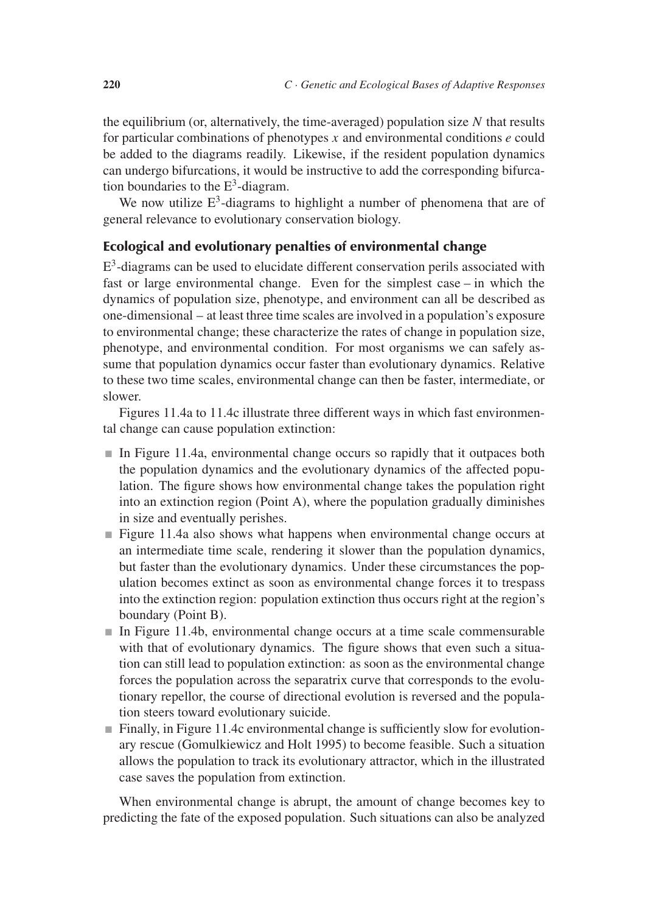the equilibrium (or, alternatively, the time-averaged) population size *N* that results for particular combinations of phenotypes *x* and environmental conditions *e* could be added to the diagrams readily. Likewise, if the resident population dynamics can undergo bifurcations, it would be instructive to add the corresponding bifurcation boundaries to the  $E<sup>3</sup>$ -diagram.

We now utilize  $E<sup>3</sup>$ -diagrams to highlight a number of phenomena that are of general relevance to evolutionary conservation biology.

# Ecological and evolutionary penalties of environmental change

 $E<sup>3</sup>$ -diagrams can be used to elucidate different conservation perils associated with fast or large environmental change. Even for the simplest case – in which the dynamics of population size, phenotype, and environment can all be described as one-dimensional – at least three time scales are involved in a population's exposure to environmental change; these characterize the rates of change in population size, phenotype, and environmental condition. For most organisms we can safely assume that population dynamics occur faster than evolutionary dynamics. Relative to these two time scales, environmental change can then be faster, intermediate, or slower.

Figures 11.4a to 11.4c illustrate three different ways in which fast environmental change can cause population extinction:

- In Figure 11.4a, environmental change occurs so rapidly that it outpaces both the population dynamics and the evolutionary dynamics of the affected population. The figure shows how environmental change takes the population right into an extinction region (Point A), where the population gradually diminishes in size and eventually perishes.
- Figure 11.4a also shows what happens when environmental change occurs at an intermediate time scale, rendering it slower than the population dynamics, but faster than the evolutionary dynamics. Under these circumstances the population becomes extinct as soon as environmental change forces it to trespass into the extinction region: population extinction thus occurs right at the region's boundary (Point B).
- In Figure 11.4b, environmental change occurs at a time scale commensurable with that of evolutionary dynamics. The figure shows that even such a situation can still lead to population extinction: as soon as the environmental change forces the population across the separatrix curve that corresponds to the evolutionary repellor, the course of directional evolution is reversed and the population steers toward evolutionary suicide.
- Finally, in Figure 11.4c environmental change is sufficiently slow for evolutionary rescue (Gomulkiewicz and Holt 1995) to become feasible. Such a situation allows the population to track its evolutionary attractor, which in the illustrated case saves the population from extinction.

When environmental change is abrupt, the amount of change becomes key to predicting the fate of the exposed population. Such situations can also be analyzed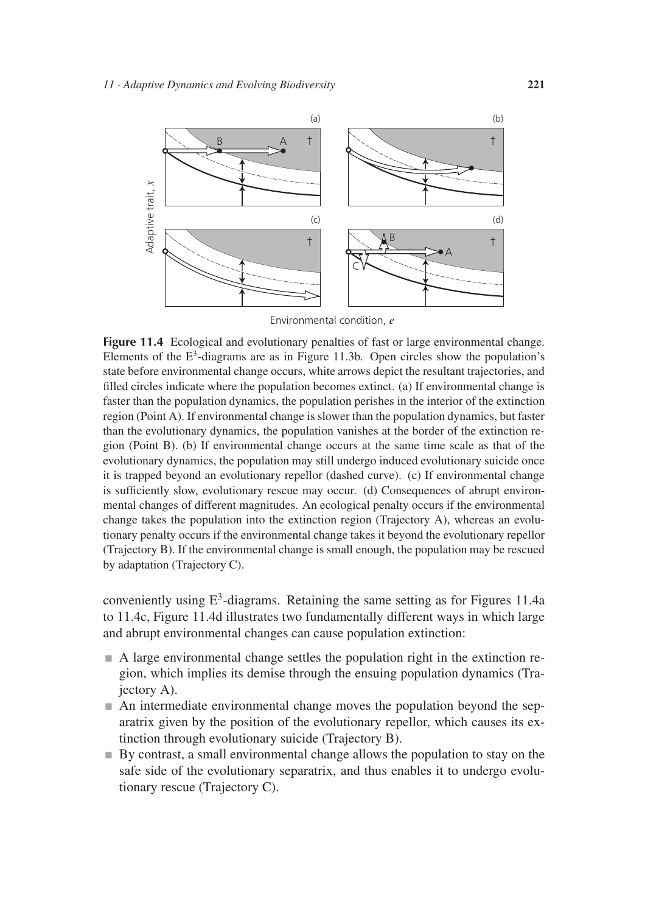

Environmental condition, *e*

Figure 11.4 Ecological and evolutionary penalties of fast or large environmental change. Elements of the  $E<sup>3</sup>$ -diagrams are as in Figure 11.3b. Open circles show the population's state before environmental change occurs, white arrows depict the resultant trajectories, and filled circles indicate where the population becomes extinct. (a) If environmental change is faster than the population dynamics, the population perishes in the interior of the extinction region (Point A). If environmental change is slower than the population dynamics, but faster than the evolutionary dynamics, the population vanishes at the border of the extinction region (Point B). (b) If environmental change occurs at the same time scale as that of the evolutionary dynamics, the population may still undergo induced evolutionary suicide once it is trapped beyond an evolutionary repellor (dashed curve). (c) If environmental change is sufficiently slow, evolutionary rescue may occur. (d) Consequences of abrupt environmental changes of different magnitudes. An ecological penalty occurs if the environmental change takes the population into the extinction region (Trajectory A), whereas an evolutionary penalty occurs if the environmental change takes it beyond the evolutionary repellor (Trajectory B). If the environmental change is small enough, the population may be rescued by adaptation (Trajectory C).

conveniently using  $E^3$ -diagrams. Retaining the same setting as for Figures 11.4a to 11.4c, Figure 11.4d illustrates two fundamentally different ways in which large and abrupt environmental changes can cause population extinction:

- A large environmental change settles the population right in the extinction region, which implies its demise through the ensuing population dynamics (Trajectory A).
- An intermediate environmental change moves the population beyond the separatrix given by the position of the evolutionary repellor, which causes its extinction through evolutionary suicide (Trajectory B).
- By contrast, a small environmental change allows the population to stay on the safe side of the evolutionary separatrix, and thus enables it to undergo evolutionary rescue (Trajectory C).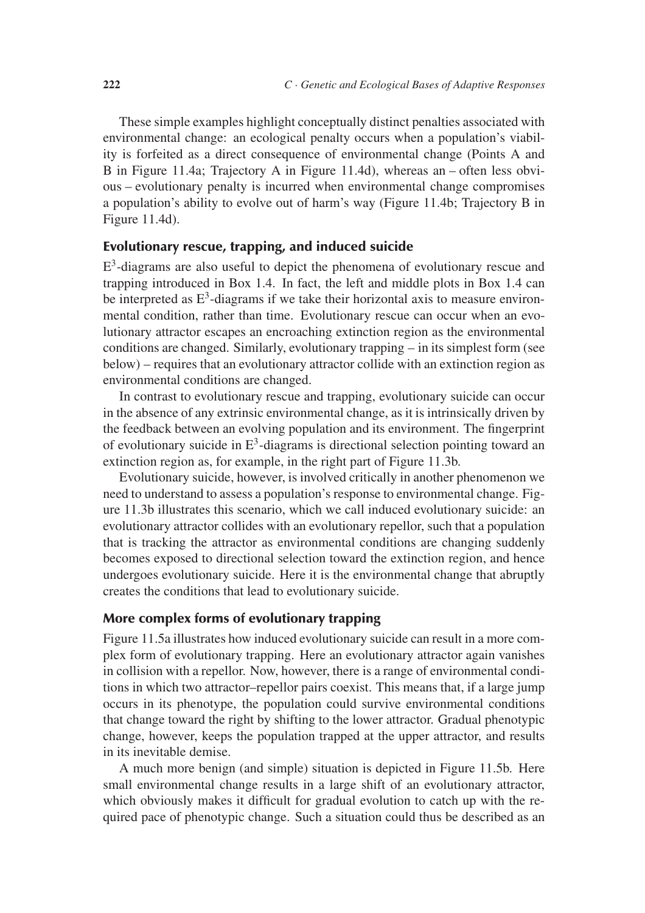These simple examples highlight conceptually distinct penalties associated with environmental change: an ecological penalty occurs when a population's viability is forfeited as a direct consequence of environmental change (Points A and B in Figure 11.4a; Trajectory A in Figure 11.4d), whereas an – often less obvious – evolutionary penalty is incurred when environmental change compromises a population's ability to evolve out of harm's way (Figure 11.4b; Trajectory B in Figure 11.4d).

# Evolutionary rescue, trapping, and induced suicide

 $E<sup>3</sup>$ -diagrams are also useful to depict the phenomena of evolutionary rescue and trapping introduced in Box 1.4. In fact, the left and middle plots in Box 1.4 can be interpreted as  $E<sup>3</sup>$ -diagrams if we take their horizontal axis to measure environmental condition, rather than time. Evolutionary rescue can occur when an evolutionary attractor escapes an encroaching extinction region as the environmental conditions are changed. Similarly, evolutionary trapping – in its simplest form (see below) – requires that an evolutionary attractor collide with an extinction region as environmental conditions are changed.

In contrast to evolutionary rescue and trapping, evolutionary suicide can occur in the absence of any extrinsic environmental change, as it is intrinsically driven by the feedback between an evolving population and its environment. The fingerprint of evolutionary suicide in  $E<sup>3</sup>$ -diagrams is directional selection pointing toward an extinction region as, for example, in the right part of Figure 11.3b.

Evolutionary suicide, however, is involved critically in another phenomenon we need to understand to assess a population's response to environmental change. Figure 11.3b illustrates this scenario, which we call induced evolutionary suicide: an evolutionary attractor collides with an evolutionary repellor, such that a population that is tracking the attractor as environmental conditions are changing suddenly becomes exposed to directional selection toward the extinction region, and hence undergoes evolutionary suicide. Here it is the environmental change that abruptly creates the conditions that lead to evolutionary suicide.

# More complex forms of evolutionary trapping

Figure 11.5a illustrates how induced evolutionary suicide can result in a more complex form of evolutionary trapping. Here an evolutionary attractor again vanishes in collision with a repellor. Now, however, there is a range of environmental conditions in which two attractor–repellor pairs coexist. This means that, if a large jump occurs in its phenotype, the population could survive environmental conditions that change toward the right by shifting to the lower attractor. Gradual phenotypic change, however, keeps the population trapped at the upper attractor, and results in its inevitable demise.

A much more benign (and simple) situation is depicted in Figure 11.5b. Here small environmental change results in a large shift of an evolutionary attractor, which obviously makes it difficult for gradual evolution to catch up with the required pace of phenotypic change. Such a situation could thus be described as an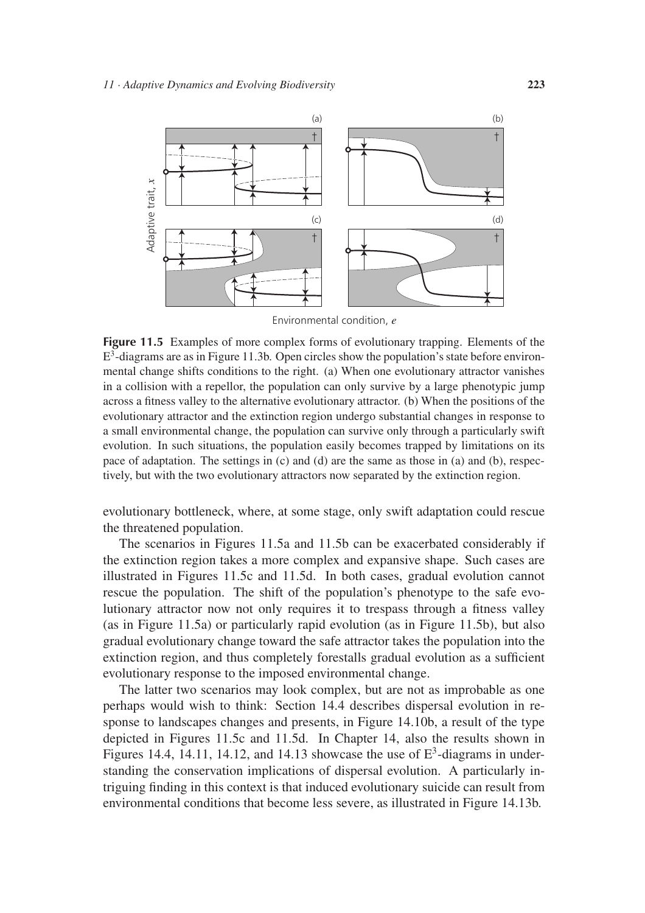

Environmental condition, *e*

**Figure 11.5** Examples of more complex forms of evolutionary trapping. Elements of the  $E<sup>3</sup>$ -diagrams are as in Figure 11.3b. Open circles show the population's state before environmental change shifts conditions to the right. (a) When one evolutionary attractor vanishes in a collision with a repellor, the population can only survive by a large phenotypic jump across a fitness valley to the alternative evolutionary attractor. (b) When the positions of the evolutionary attractor and the extinction region undergo substantial changes in response to a small environmental change, the population can survive only through a particularly swift evolution. In such situations, the population easily becomes trapped by limitations on its pace of adaptation. The settings in (c) and (d) are the same as those in (a) and (b), respectively, but with the two evolutionary attractors now separated by the extinction region.

evolutionary bottleneck, where, at some stage, only swift adaptation could rescue the threatened population.

The scenarios in Figures 11.5a and 11.5b can be exacerbated considerably if the extinction region takes a more complex and expansive shape. Such cases are illustrated in Figures 11.5c and 11.5d. In both cases, gradual evolution cannot rescue the population. The shift of the population's phenotype to the safe evolutionary attractor now not only requires it to trespass through a fitness valley (as in Figure 11.5a) or particularly rapid evolution (as in Figure 11.5b), but also gradual evolutionary change toward the safe attractor takes the population into the extinction region, and thus completely forestalls gradual evolution as a sufficient evolutionary response to the imposed environmental change.

The latter two scenarios may look complex, but are not as improbable as one perhaps would wish to think: Section 14.4 describes dispersal evolution in response to landscapes changes and presents, in Figure 14.10b, a result of the type depicted in Figures 11.5c and 11.5d. In Chapter 14, also the results shown in Figures 14.4, 14.11, 14.12, and 14.13 showcase the use of  $E<sup>3</sup>$ -diagrams in understanding the conservation implications of dispersal evolution. A particularly intriguing finding in this context is that induced evolutionary suicide can result from environmental conditions that become less severe, as illustrated in Figure 14.13b.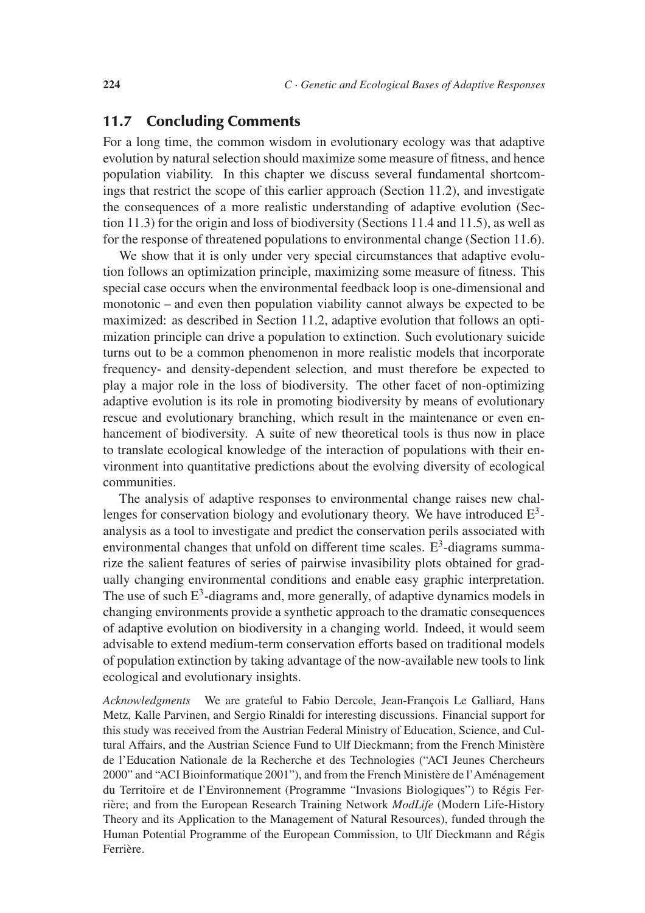# 11.7 Concluding Comments

For a long time, the common wisdom in evolutionary ecology was that adaptive evolution by natural selection should maximize some measure of fitness, and hence population viability. In this chapter we discuss several fundamental shortcomings that restrict the scope of this earlier approach (Section 11.2), and investigate the consequences of a more realistic understanding of adaptive evolution (Section 11.3) for the origin and loss of biodiversity (Sections 11.4 and 11.5), as well as for the response of threatened populations to environmental change (Section 11.6).

We show that it is only under very special circumstances that adaptive evolution follows an optimization principle, maximizing some measure of fitness. This special case occurs when the environmental feedback loop is one-dimensional and monotonic – and even then population viability cannot always be expected to be maximized: as described in Section 11.2, adaptive evolution that follows an optimization principle can drive a population to extinction. Such evolutionary suicide turns out to be a common phenomenon in more realistic models that incorporate frequency- and density-dependent selection, and must therefore be expected to play a major role in the loss of biodiversity. The other facet of non-optimizing adaptive evolution is its role in promoting biodiversity by means of evolutionary rescue and evolutionary branching, which result in the maintenance or even enhancement of biodiversity. A suite of new theoretical tools is thus now in place to translate ecological knowledge of the interaction of populations with their environment into quantitative predictions about the evolving diversity of ecological communities.

The analysis of adaptive responses to environmental change raises new challenges for conservation biology and evolutionary theory. We have introduced  $E<sup>3</sup>$ analysis as a tool to investigate and predict the conservation perils associated with environmental changes that unfold on different time scales.  $E<sup>3</sup>$ -diagrams summarize the salient features of series of pairwise invasibility plots obtained for gradually changing environmental conditions and enable easy graphic interpretation. The use of such  $E<sup>3</sup>$ -diagrams and, more generally, of adaptive dynamics models in changing environments provide a synthetic approach to the dramatic consequences of adaptive evolution on biodiversity in a changing world. Indeed, it would seem advisable to extend medium-term conservation efforts based on traditional models of population extinction by taking advantage of the now-available new tools to link ecological and evolutionary insights.

*Acknowledgments* We are grateful to Fabio Dercole, Jean-François Le Galliard, Hans Metz, Kalle Parvinen, and Sergio Rinaldi for interesting discussions. Financial support for this study was received from the Austrian Federal Ministry of Education, Science, and Cultural Affairs, and the Austrian Science Fund to Ulf Dieckmann; from the French Ministère de l'Education Nationale de la Recherche et des Technologies ("ACI Jeunes Chercheurs 2000" and "ACI Bioinformatique 2001"), and from the French Ministère de l'Aménagement du Territoire et de l'Environnement (Programme "Invasions Biologiques") to Régis Ferrière; and from the European Research Training Network *ModLife* (Modern Life-History Theory and its Application to the Management of Natural Resources), funded through the Human Potential Programme of the European Commission, to Ulf Dieckmann and Régis Ferrière.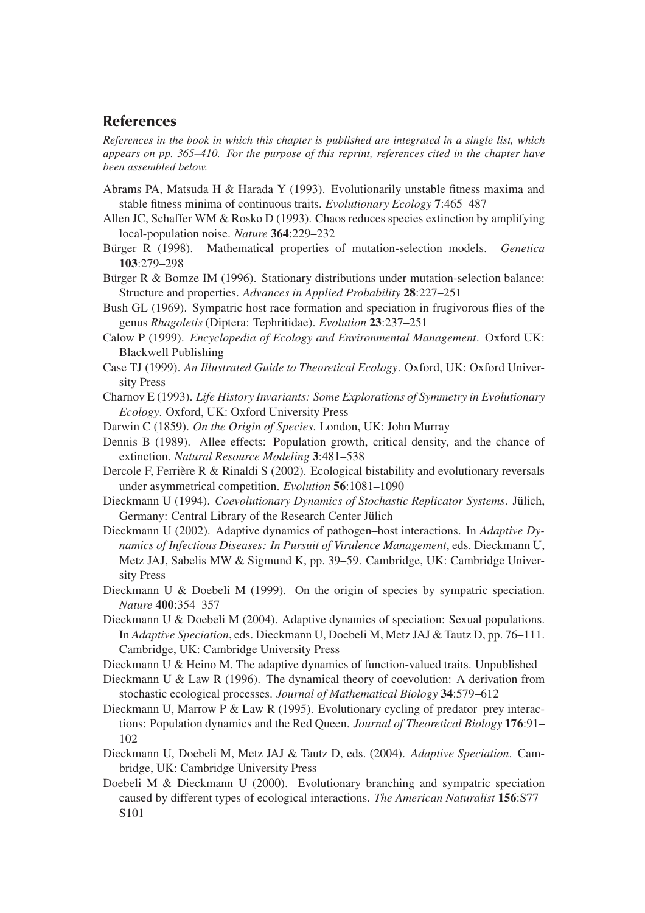# References

*References in the book in which this chapter is published are integrated in a single list, which appears on pp. 365–410. For the purpose of this reprint, references cited in the chapter have been assembled below.*

- Abrams PA, Matsuda H & Harada Y (1993). Evolutionarily unstable fitness maxima and stable fitness minima of continuous traits. *Evolutionary Ecology* **7**:465–487
- Allen JC, Schaffer WM & Rosko D (1993). Chaos reduces species extinction by amplifying local-population noise. *Nature* **364**:229–232
- Bürger R (1998). Mathematical properties of mutation-selection models. *Genetica* **103**:279–298
- Bürger R & Bomze IM (1996). Stationary distributions under mutation-selection balance: Structure and properties. *Advances in Applied Probability* **28**:227–251
- Bush GL (1969). Sympatric host race formation and speciation in frugivorous flies of the genus *Rhagoletis* (Diptera: Tephritidae). *Evolution* **23**:237–251
- Calow P (1999). *Encyclopedia of Ecology and Environmental Management*. Oxford UK: Blackwell Publishing
- Case TJ (1999). *An Illustrated Guide to Theoretical Ecology*. Oxford, UK: Oxford University Press
- Charnov E (1993). *Life History Invariants: Some Explorations of Symmetry in Evolutionary Ecology*. Oxford, UK: Oxford University Press
- Darwin C (1859). *On the Origin of Species*. London, UK: John Murray
- Dennis B (1989). Allee effects: Population growth, critical density, and the chance of extinction. *Natural Resource Modeling* **3**:481–538
- Dercole F, Ferrière R & Rinaldi S (2002). Ecological bistability and evolutionary reversals under asymmetrical competition. *Evolution* **56**:1081–1090
- Dieckmann U (1994). *Coevolutionary Dynamics of Stochastic Replicator Systems*. Jülich, Germany: Central Library of the Research Center Jülich
- Dieckmann U (2002). Adaptive dynamics of pathogen–host interactions. In *Adaptive Dynamics of Infectious Diseases: In Pursuit of Virulence Management*, eds. Dieckmann U, Metz JAJ, Sabelis MW & Sigmund K, pp. 39–59. Cambridge, UK: Cambridge University Press
- Dieckmann U & Doebeli M (1999). On the origin of species by sympatric speciation. *Nature* **400**:354–357
- Dieckmann U & Doebeli M (2004). Adaptive dynamics of speciation: Sexual populations. In *Adaptive Speciation*, eds. Dieckmann U, Doebeli M, Metz JAJ & Tautz D, pp. 76–111. Cambridge, UK: Cambridge University Press
- Dieckmann U & Heino M. The adaptive dynamics of function-valued traits. Unpublished
- Dieckmann U & Law R (1996). The dynamical theory of coevolution: A derivation from stochastic ecological processes. *Journal of Mathematical Biology* **34**:579–612
- Dieckmann U, Marrow P & Law R (1995). Evolutionary cycling of predator–prey interactions: Population dynamics and the Red Queen. *Journal of Theoretical Biology* **176**:91– 102
- Dieckmann U, Doebeli M, Metz JAJ & Tautz D, eds. (2004). *Adaptive Speciation*. Cambridge, UK: Cambridge University Press
- Doebeli M & Dieckmann U (2000). Evolutionary branching and sympatric speciation caused by different types of ecological interactions. *The American Naturalist* **156**:S77– S101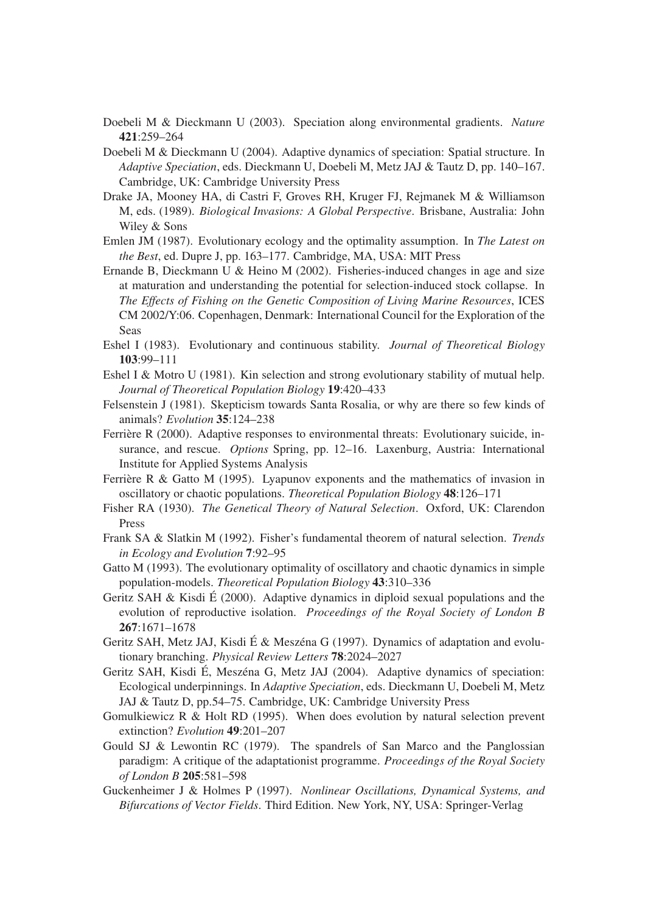- Doebeli M & Dieckmann U (2003). Speciation along environmental gradients. *Nature* **421**:259–264
- Doebeli M & Dieckmann U (2004). Adaptive dynamics of speciation: Spatial structure. In *Adaptive Speciation*, eds. Dieckmann U, Doebeli M, Metz JAJ & Tautz D, pp. 140–167. Cambridge, UK: Cambridge University Press
- Drake JA, Mooney HA, di Castri F, Groves RH, Kruger FJ, Rejmanek M & Williamson M, eds. (1989). *Biological Invasions: A Global Perspective*. Brisbane, Australia: John Wiley & Sons
- Emlen JM (1987). Evolutionary ecology and the optimality assumption. In *The Latest on the Best*, ed. Dupre J, pp. 163–177. Cambridge, MA, USA: MIT Press
- Ernande B, Dieckmann U & Heino M (2002). Fisheries-induced changes in age and size at maturation and understanding the potential for selection-induced stock collapse. In *The Effects of Fishing on the Genetic Composition of Living Marine Resources*, ICES CM 2002/Y:06. Copenhagen, Denmark: International Council for the Exploration of the Seas
- Eshel I (1983). Evolutionary and continuous stability. *Journal of Theoretical Biology* **103**:99–111
- Eshel I & Motro U (1981). Kin selection and strong evolutionary stability of mutual help. *Journal of Theoretical Population Biology* **19**:420–433
- Felsenstein J (1981). Skepticism towards Santa Rosalia, or why are there so few kinds of animals? *Evolution* **35**:124–238
- Ferrière R (2000). Adaptive responses to environmental threats: Evolutionary suicide, insurance, and rescue. *Options* Spring, pp. 12–16. Laxenburg, Austria: International Institute for Applied Systems Analysis
- Ferrière R & Gatto M (1995). Lyapunov exponents and the mathematics of invasion in oscillatory or chaotic populations. *Theoretical Population Biology* **48**:126–171
- Fisher RA (1930). *The Genetical Theory of Natural Selection*. Oxford, UK: Clarendon Press
- Frank SA & Slatkin M (1992). Fisher's fundamental theorem of natural selection. *Trends in Ecology and Evolution* **7**:92–95
- Gatto M (1993). The evolutionary optimality of oscillatory and chaotic dynamics in simple population-models. *Theoretical Population Biology* **43**:310–336
- Geritz SAH & Kisdi É (2000). Adaptive dynamics in diploid sexual populations and the evolution of reproductive isolation. *Proceedings of the Royal Society of London B* **267**:1671–1678
- Geritz SAH, Metz JAJ, Kisdi É & Meszéna G (1997). Dynamics of adaptation and evolutionary branching. *Physical Review Letters* **78**:2024–2027
- Geritz SAH, Kisdi É, Meszéna G, Metz JAJ (2004). Adaptive dynamics of speciation: Ecological underpinnings. In *Adaptive Speciation*, eds. Dieckmann U, Doebeli M, Metz JAJ & Tautz D, pp.54–75. Cambridge, UK: Cambridge University Press
- Gomulkiewicz R & Holt RD (1995). When does evolution by natural selection prevent extinction? *Evolution* **49**:201–207
- Gould SJ & Lewontin RC (1979). The spandrels of San Marco and the Panglossian paradigm: A critique of the adaptationist programme. *Proceedings of the Royal Society of London B* **205**:581–598
- Guckenheimer J & Holmes P (1997). *Nonlinear Oscillations, Dynamical Systems, and Bifurcations of Vector Fields*. Third Edition. New York, NY, USA: Springer-Verlag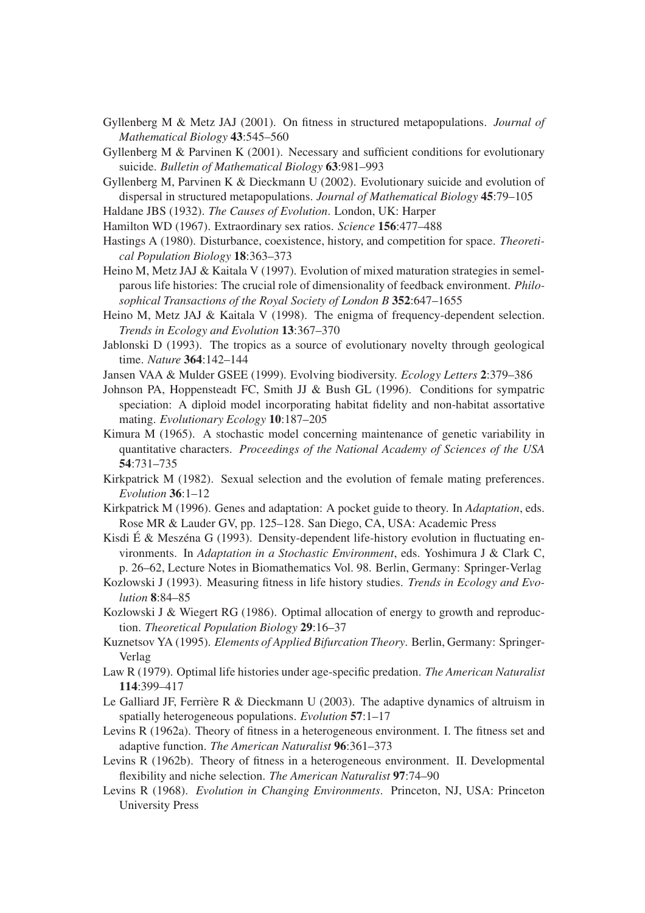- Gyllenberg M & Metz JAJ (2001). On fitness in structured metapopulations. *Journal of Mathematical Biology* **43**:545–560
- Gyllenberg M & Parvinen K (2001). Necessary and sufficient conditions for evolutionary suicide. *Bulletin of Mathematical Biology* **63**:981–993
- Gyllenberg M, Parvinen K & Dieckmann U (2002). Evolutionary suicide and evolution of dispersal in structured metapopulations. *Journal of Mathematical Biology* **45**:79–105
- Haldane JBS (1932). *The Causes of Evolution*. London, UK: Harper
- Hamilton WD (1967). Extraordinary sex ratios. *Science* **156**:477–488
- Hastings A (1980). Disturbance, coexistence, history, and competition for space. *Theoretical Population Biology* **18**:363–373
- Heino M, Metz JAJ & Kaitala V (1997). Evolution of mixed maturation strategies in semelparous life histories: The crucial role of dimensionality of feedback environment. *Philosophical Transactions of the Royal Society of London B* **352**:647–1655
- Heino M, Metz JAJ & Kaitala V (1998). The enigma of frequency-dependent selection. *Trends in Ecology and Evolution* **13**:367–370
- Jablonski D (1993). The tropics as a source of evolutionary novelty through geological time. *Nature* **364**:142–144
- Jansen VAA & Mulder GSEE (1999). Evolving biodiversity. *Ecology Letters* **2**:379–386
- Johnson PA, Hoppensteadt FC, Smith JJ & Bush GL (1996). Conditions for sympatric speciation: A diploid model incorporating habitat fidelity and non-habitat assortative mating. *Evolutionary Ecology* **10**:187–205
- Kimura M (1965). A stochastic model concerning maintenance of genetic variability in quantitative characters. *Proceedings of the National Academy of Sciences of the USA* **54**:731–735
- Kirkpatrick M (1982). Sexual selection and the evolution of female mating preferences. *Evolution* **36**:1–12
- Kirkpatrick M (1996). Genes and adaptation: A pocket guide to theory. In *Adaptation*, eds. Rose MR & Lauder GV, pp. 125–128. San Diego, CA, USA: Academic Press
- Kisdi É & Meszéna G (1993). Density-dependent life-history evolution in fluctuating environments. In *Adaptation in a Stochastic Environment*, eds. Yoshimura J & Clark C, p. 26–62, Lecture Notes in Biomathematics Vol. 98. Berlin, Germany: Springer-Verlag
- Kozlowski J (1993). Measuring fitness in life history studies. *Trends in Ecology and Evolution* **8**:84–85
- Kozlowski J & Wiegert RG (1986). Optimal allocation of energy to growth and reproduction. *Theoretical Population Biology* **29**:16–37
- Kuznetsov YA (1995). *Elements of Applied Bifurcation Theory*. Berlin, Germany: Springer-Verlag
- Law R (1979). Optimal life histories under age-specific predation. *The American Naturalist* **114**:399–417
- Le Galliard JF, Ferrière R & Dieckmann U (2003). The adaptive dynamics of altruism in spatially heterogeneous populations. *Evolution* **57**:1–17
- Levins R (1962a). Theory of fitness in a heterogeneous environment. I. The fitness set and adaptive function. *The American Naturalist* **96**:361–373
- Levins R (1962b). Theory of fitness in a heterogeneous environment. II. Developmental flexibility and niche selection. *The American Naturalist* **97**:74–90
- Levins R (1968). *Evolution in Changing Environments*. Princeton, NJ, USA: Princeton University Press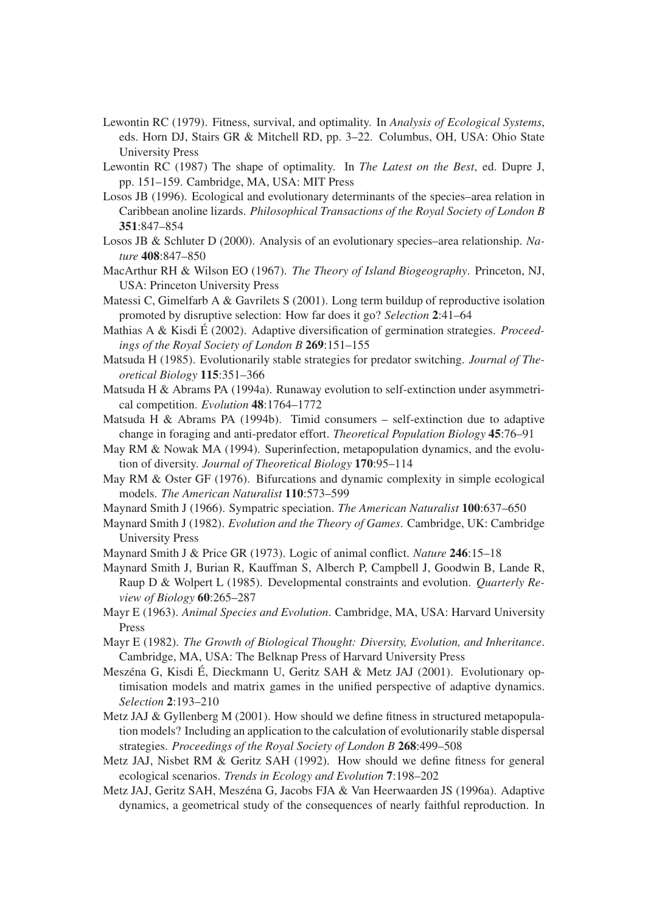- Lewontin RC (1979). Fitness, survival, and optimality. In *Analysis of Ecological Systems*, eds. Horn DJ, Stairs GR & Mitchell RD, pp. 3–22. Columbus, OH, USA: Ohio State University Press
- Lewontin RC (1987) The shape of optimality. In *The Latest on the Best*, ed. Dupre J, pp. 151–159. Cambridge, MA, USA: MIT Press
- Losos JB (1996). Ecological and evolutionary determinants of the species–area relation in Caribbean anoline lizards. *Philosophical Transactions of the Royal Society of London B* **351**:847–854
- Losos JB & Schluter D (2000). Analysis of an evolutionary species–area relationship. *Nature* **408**:847–850
- MacArthur RH & Wilson EO (1967). *The Theory of Island Biogeography*. Princeton, NJ, USA: Princeton University Press
- Matessi C, Gimelfarb A & Gavrilets S (2001). Long term buildup of reproductive isolation promoted by disruptive selection: How far does it go? *Selection* **2**:41–64
- Mathias A & Kisdi É (2002). Adaptive diversification of germination strategies. *Proceedings of the Royal Society of London B* **269**:151–155
- Matsuda H (1985). Evolutionarily stable strategies for predator switching. *Journal of Theoretical Biology* **115**:351–366
- Matsuda H & Abrams PA (1994a). Runaway evolution to self-extinction under asymmetrical competition. *Evolution* **48**:1764–1772
- Matsuda H & Abrams PA (1994b). Timid consumers  $-$  self-extinction due to adaptive change in foraging and anti-predator effort. *Theoretical Population Biology* **45**:76–91
- May RM  $\&$  Nowak MA (1994). Superinfection, metapopulation dynamics, and the evolution of diversity. *Journal of Theoretical Biology* **170**:95–114
- May RM & Oster GF (1976). Bifurcations and dynamic complexity in simple ecological models. *The American Naturalist* **110**:573–599
- Maynard Smith J (1966). Sympatric speciation. *The American Naturalist* **100**:637–650
- Maynard Smith J (1982). *Evolution and the Theory of Games*. Cambridge, UK: Cambridge University Press
- Maynard Smith J & Price GR (1973). Logic of animal conflict. *Nature* **246**:15–18
- Maynard Smith J, Burian R, Kauffman S, Alberch P, Campbell J, Goodwin B, Lande R, Raup D & Wolpert L (1985). Developmental constraints and evolution. *Quarterly Review of Biology* **60**:265–287
- Mayr E (1963). *Animal Species and Evolution*. Cambridge, MA, USA: Harvard University Press
- Mayr E (1982). *The Growth of Biological Thought: Diversity, Evolution, and Inheritance*. Cambridge, MA, USA: The Belknap Press of Harvard University Press
- Meszéna G, Kisdi É, Dieckmann U, Geritz SAH & Metz JAJ (2001). Evolutionary optimisation models and matrix games in the unified perspective of adaptive dynamics. *Selection* **2**:193–210
- Metz JAJ  $\&$  Gyllenberg M (2001). How should we define fitness in structured metapopulation models? Including an application to the calculation of evolutionarily stable dispersal strategies. *Proceedings of the Royal Society of London B* **268**:499–508
- Metz JAJ, Nisbet RM & Geritz SAH (1992). How should we define fitness for general ecological scenarios. *Trends in Ecology and Evolution* **7**:198–202
- Metz JAJ, Geritz SAH, Meszéna G, Jacobs FJA & Van Heerwaarden JS (1996a). Adaptive dynamics, a geometrical study of the consequences of nearly faithful reproduction. In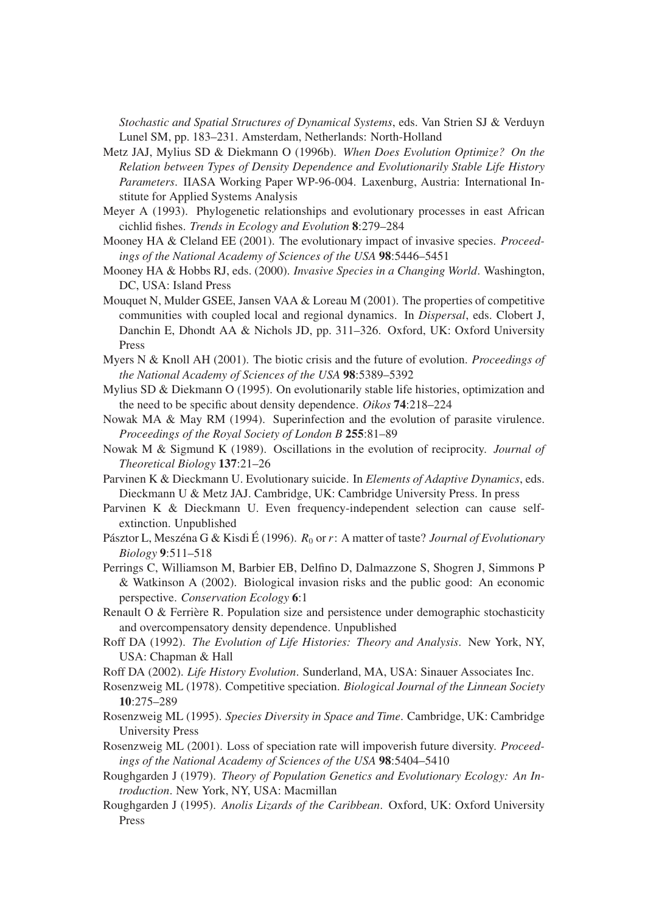*Stochastic and Spatial Structures of Dynamical Systems*, eds. Van Strien SJ & Verduyn Lunel SM, pp. 183–231. Amsterdam, Netherlands: North-Holland

- Metz JAJ, Mylius SD & Diekmann O (1996b). *When Does Evolution Optimize? On the Relation between Types of Density Dependence and Evolutionarily Stable Life History Parameters*. IIASA Working Paper WP-96-004. Laxenburg, Austria: International Institute for Applied Systems Analysis
- Meyer A (1993). Phylogenetic relationships and evolutionary processes in east African cichlid fishes. *Trends in Ecology and Evolution* **8**:279–284
- Mooney HA & Cleland EE (2001). The evolutionary impact of invasive species. *Proceedings of the National Academy of Sciences of the USA* **98**:5446–5451
- Mooney HA & Hobbs RJ, eds. (2000). *Invasive Species in a Changing World*. Washington, DC, USA: Island Press
- Mouquet N, Mulder GSEE, Jansen VAA & Loreau M (2001). The properties of competitive communities with coupled local and regional dynamics. In *Dispersal*, eds. Clobert J, Danchin E, Dhondt AA & Nichols JD, pp. 311–326. Oxford, UK: Oxford University Press
- Myers N & Knoll AH (2001). The biotic crisis and the future of evolution. *Proceedings of the National Academy of Sciences of the USA* **98**:5389–5392
- Mylius SD & Diekmann O (1995). On evolutionarily stable life histories, optimization and the need to be specific about density dependence. *Oikos* **74**:218–224
- Nowak MA & May RM (1994). Superinfection and the evolution of parasite virulence. *Proceedings of the Royal Society of London B* **255**:81–89
- Nowak M & Sigmund K (1989). Oscillations in the evolution of reciprocity. *Journal of Theoretical Biology* **137**:21–26
- Parvinen K & Dieckmann U. Evolutionary suicide. In *Elements of Adaptive Dynamics*, eds. Dieckmann U & Metz JAJ. Cambridge, UK: Cambridge University Press. In press
- Parvinen K & Dieckmann U. Even frequency-independent selection can cause selfextinction. Unpublished
- Pásztor L, Meszéna G & Kisdi É (1996).  $R_0$  or r: A matter of taste? *Journal of Evolutionary Biology* **9**:511–518
- Perrings C, Williamson M, Barbier EB, Delfino D, Dalmazzone S, Shogren J, Simmons P & Watkinson A (2002). Biological invasion risks and the public good: An economic perspective. *Conservation Ecology* **6**:1
- Renault O & Ferrière R. Population size and persistence under demographic stochasticity and overcompensatory density dependence. Unpublished
- Roff DA (1992). *The Evolution of Life Histories: Theory and Analysis*. New York, NY, USA: Chapman & Hall
- Roff DA (2002). *Life History Evolution*. Sunderland, MA, USA: Sinauer Associates Inc.
- Rosenzweig ML (1978). Competitive speciation. *Biological Journal of the Linnean Society* **10**:275–289
- Rosenzweig ML (1995). *Species Diversity in Space and Time*. Cambridge, UK: Cambridge University Press
- Rosenzweig ML (2001). Loss of speciation rate will impoverish future diversity. *Proceedings of the National Academy of Sciences of the USA* **98**:5404–5410
- Roughgarden J (1979). *Theory of Population Genetics and Evolutionary Ecology: An Introduction*. New York, NY, USA: Macmillan
- Roughgarden J (1995). *Anolis Lizards of the Caribbean*. Oxford, UK: Oxford University Press